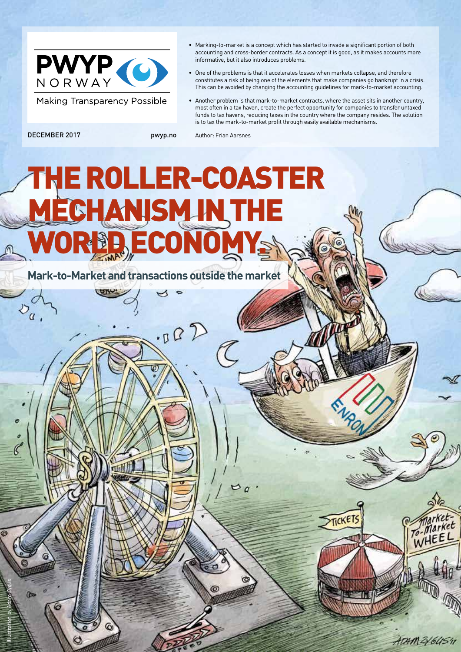

**Making Transparency Possible** 

- Marking-to-market is a concept which has started to invade a significant portion of both accounting and cross-border contracts. As a concept it is good, as it makes accounts more informative, but it also introduces problems.
- One of the problems is that it accelerates losses when markets collapse, and therefore constitutes a risk of being one of the elements that make companies go bankrupt in a crisis. This can be avoided by changing the accounting guidelines for mark-to-market accounting.
- Another problem is that mark-to-market contracts, where the asset sits in another country, most often in a tax haven, create the perfect opportunity for companies to transfer untaxed funds to tax havens, reducing taxes in the country where the company resides. The solution is to tax the mark-to-market profit through easily available mechanisms.

 $v_q$ 

Illustration by Adam Zyglis

m

 $\mathcal{C}$ 

DECEMBER 2017 pwyp.no Author: Frian Aarsnes

# THE ROLLER-COASTER ECHANISM IN THE R**BB ECONOM**

 $-502$ 

**Mark-to-Market and transactions outside the market**

ATAM 21645'IT

*Market* 

TICKET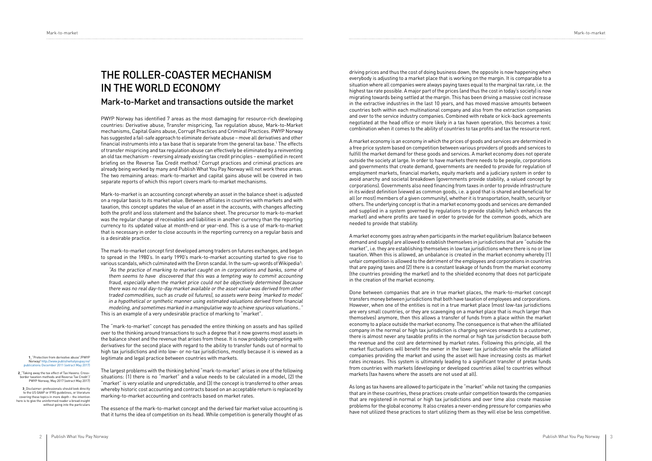# THE ROLLER-COASTER MECHANISM IN THE WORLD ECONOMY

### Mark-to-Market and transactions outside the market

PWYP Norway has identified 7 areas as the most damaging for resource-rich developing countries: Derivative abuse, Transfer mispricing, Tax regulation abuse, Mark-to-Market mechanisms, Capital Gains abuse, Corrupt Practices and Criminal Practices. PWYP Norway has suggested a fail-safe approach to eliminate derivate abuse – move all derivatives and other financial instruments into a tax base that is separate from the general tax base.1 The effects of transfer mispricing and tax regulation abuse can effectively be eliminated by a reinventing an old tax mechanism - reversing already existing tax credit principles – exemplified in recent briefing on the Reverse Tax Credit method. $2$  Corrupt practices and criminal practices are already being worked by many and Publish What You Pay Norway will not work these areas. The two remaining areas: mark-to-market and capital gains abuse will be covered in two separate reports of which this report covers mark-to-market mechanisms.

Mark-to-market is an accounting concept whereby an asset in the balance sheet is adjusted on a regular basis to its market value. Between affiliates in countries with markets and with taxation, this concept updates the value of an asset in the accounts, with changes affecting both the profit and loss statement and the balance sheet. The precursor to mark-to-market was the regular change of receivables and liabilities in another currency than the reporting currency to its updated value at month-end or year-end. This is a use of mark-to-market that is necessary in order to close accounts in the reporting currency on a regular basis and is a desirable practice.

The mark-to-market concept first developed among traders on futures exchanges, and began to spread in the 1980's. In early 1990's mark-to-market accounting started to give rise to various scandals, which culminated with the Enron scandal. In the sum-up words of Wikipedia $^3\!:\,$ "As the practice of marking to market caught on in corporations and banks, some of them seems to have discovered that this was a tempting way to commit accounting fraud, especially when the market price could not be objectively determined (because there was no real day-to-day market available or the asset value was derived from other traded commodities, such as crude oil futures), so assets were being 'marked to model' in a hypothetical or synthetic manner using estimated valuations derived from financial modeling, and sometimes marked in a manipulative way to achieve spurious valuations.." This is an example of a very undesirable practice of marking to "market".

The "mark-to-market" concept has pervaded the entire thinking on assets and has spilled over to the thinking around transactions to such a degree that it now governs most assets in the balance sheet and the revenue that arises from these. It is now probably competing with derivatives for the second place with regard to the ability to transfer funds out of normal to high tax jurisdictions and into low- or no-tax jurisdictions, mostly because it is viewed as a legitimate and legal practice between countries with markets.

The largest problems with the thinking behind "mark-to-market" arises in one of the following situations: (1) there is no "market" and a value needs to be calculated in a model, (2) the "market" is very volatile and unpredictable, and (3) the concept is transferred to other areas whereby historic cost accounting and contracts based on an acceptable return is replaced by marking-to-market accounting and contracts based on market rates.

The essence of the mark-to-market concept and the derived fair market value accounting is that it turns the idea of competition on its head. While competition is generally thought of as

driving prices and thus the cost of doing business down, the opposite is now happening when everybody is adjusting to a market place that is working on the margin. It is comparable to a situation where all companies were always paying taxes equal to the marginal tax rate, i.e. the highest tax rate possible. A major part of the prices (and thus the cost in today's society) is now migrating towards being settled at the margin. This has been driving a massive cost increase in the extractive industries in the last 10 years, and has moved massive amounts between countries both within each multinational company and also from the extraction companies and over to the service industry companies. Combined with rebate or kick-back agreements negotiated at the head office or more likely in a tax haven operation, this becomes a toxic combination when it comes to the ability of countries to tax profits and tax the resource rent.

A market economy is an economy in which the prices of goods and services are determined in a free price system based on competition between various providers of goods and services to fulfill the market demand for these goods and services. A market economy does not operate outside the society at large. In order to have markets there needs to be people, corporations and governments that create demand, governments are needed to provide for regulation of employment markets, financial markets, equity markets and a judiciary system in order to avoid anarchy and societal breakdown (governments provide stability, a valued concept by corporations). Governments also need financing from taxes in order to provide infrastructure in its widest definition (viewed as common goods, i.e. a good that is shared and beneficial for all (or most) members of a given community), whether it is transportation, health, security or others. The underlying concept is that in a market economy goods and services are demanded and supplied in a system governed by regulations to provide stability (which enhances the market) and where profits are taxed in order to provide for the common goods, which are needed to provide that stability.

A market economy goes astray when participants in the market equilibrium (balance between demand and supply) are allowed to establish themselves in jurisdictions that are "outside the market", i.e. they are establishing themselves in low tax jurisdictions where there is no or low taxation. When this is allowed, an unbalance is created in the market economy whereby (1) unfair competition is allowed to the detriment of the employees and corporations in countries that are paying taxes and (2) there is a constant leakage of funds from the market economy (the countries providing the market) and to the shielded economy that does not participate in the creation of the market economy.

Done between companies that are in true market places, the mark-to-market concept transfers money between jurisdictions that both have taxation of employees and corporations. However, when one of the entities is not in a true market place (most low-tax jurisdictions are very small countries, or they are scavenging on a market place that is much larger than themselves) anymore, then this allows a transfer of funds from a place within the market economy to a place outside the market economy. The consequence is that when the affiliated company in the normal or high tax jurisdiction is charging services onwards to a customer, there is almost never any taxable profits in the normal or high tax jurisdiction because both the revenue and the cost are determined by market rates. Following this principle, all the market fluctuations will benefit the owner in the lower tax jurisdiction while the affiliated companies providing the market and using the asset will have increasing costs as market rates increases. This system is ultimately leading to a significant transfer of pretax funds from countries with markets (developing or developed countries alike) to countries without markets (tax havens where the assets are not used at all).

As long as tax havens are allowed to participate in the "market" while not taxing the companies that are in these countries, these practices create unfair competition towards the companies that are registered in normal or high tax jurisdictions and over time also create massive problems for the global economy. It also creates a never-ending pressure for companies who have not utilized these practices to start utilizing them as they will else be less competitive.

 **1**\_"Protection from derivative abuse"/PWYP Norway/ http://www. [publications December 2011 \(extract May 2017\)](http://www.publishwhatyoupay.no/publications December 2011 (extract May 2017) )

 **2**\_"Taking away the tax effect of Tax Havens. Crossborder taxation methods and Reverse Tax Credit"/ PWYP Norway, May 2017 (extract May 2017)

 **3**\_Disclaimer: professionals should look directly to the US GAAP or IFRS guidelines, or literature covering these topics in more depth – the intention here is to give the uninformed reader a broad insight without going into the particulars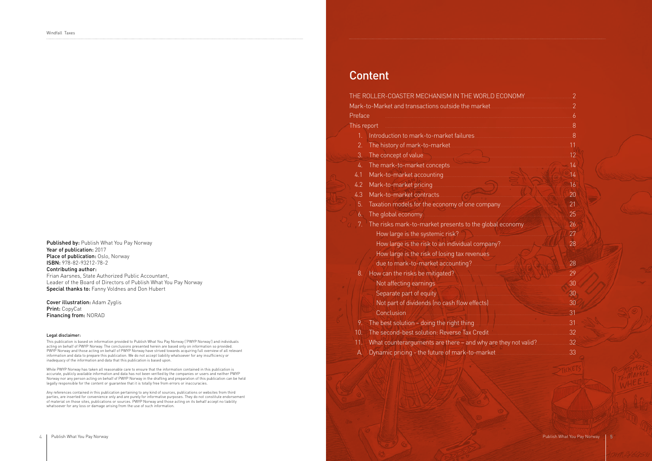Published by: Publish What You Pay Norway Year of publication: 2017 Place of publication: Oslo, Norway ISBN: 978-82-93212-78-2 Contributing author: Frian Aarsnes, State Authorized Public Accountant, Leader of the Board of Directors of Publish What You Pay Norway Special thanks to: Fanny Voldnes and Don Hubert

**Cover illustration: Adam Zyglis** Print: CopyCat Financing from: NORAD

#### Legal disclaimer:

This publication is based on information provided to Publish What You Pay Norway ('PWYP Norway') and individuals acting on behalf of PWYP Norway. The conclusions presented herein are based only on information so provided. PWYP Norway and those acting on behalf of PWYP Norway have strived towards acquiring full overview of all relevant information and data to prepare this publication. We do not accept liability whatsoever for any insufficiency or inadequacy of the information and data that this publication is based upon.

While PWYP Norway has taken all reasonable care to ensure that the information contained in this publication is accurate, publicly available information and data has not been verified by the companies or users and neither PWYP Norway nor any person acting on behalf of PWYP Norway in the drafting and preparation of this publication can be held legally responsible for the content or guarantee that it is totally free from errors or inaccuracies.

Any references contained in this publication pertaining to any kind of sources, publications or websites from third parties, are inserted for convenience only and are purely for informative purposes. They do not constitute endorsement of material on those sites, publications or sources. PWYP Norway and those acting on its behalf accept no liability whatsoever for any loss or damage arising from the use of such information.

# **Content**

|                  | THE ROLLER-COASTER MECHANISM IN THE WORLD ECONOMY                                                                                                                                                                              | $\overline{2}$ |
|------------------|--------------------------------------------------------------------------------------------------------------------------------------------------------------------------------------------------------------------------------|----------------|
|                  |                                                                                                                                                                                                                                | $\overline{2}$ |
| Preface          |                                                                                                                                                                                                                                | $\overline{6}$ |
| This report      |                                                                                                                                                                                                                                | 8              |
| 1.               |                                                                                                                                                                                                                                |                |
| 2.               |                                                                                                                                                                                                                                | .11            |
| 3.               | The concept of value                                                                                                                                                                                                           | .12            |
| 4.               | The mark-to-market concepts                                                                                                                                                                                                    | 14             |
| 4.1              |                                                                                                                                                                                                                                | 14             |
| $\overline{4.2}$ |                                                                                                                                                                                                                                | 16             |
| 4.3              |                                                                                                                                                                                                                                | 20             |
| 5.               |                                                                                                                                                                                                                                | 21             |
| 6.               | The global economy. The global economy and the set of the set of the set of the set of the set of the set of the set of the set of the set of the set of the set of the set of the set of the set of the set of the set of the | .25            |
| 7.               |                                                                                                                                                                                                                                | .26            |
|                  | How large is the systemic risk? 2000 Manuscript and the systemic risk?                                                                                                                                                         | 27             |
|                  | How large is the risk to an individual company?                                                                                                                                                                                | 28             |
|                  | How large is the risk of losing tax revenues                                                                                                                                                                                   |                |
|                  | due to mark-to-market accounting? Market Accounting 2                                                                                                                                                                          | 28             |
| 8.               |                                                                                                                                                                                                                                | 29             |
|                  | Not affecting earnings <b>Container and Container and Container and Container and Container and Container and Container</b>                                                                                                    | 30             |
|                  | Separate part of equity Manuscription and the contract of equity Manuscription and the contract of equity Manuscription                                                                                                        | .30            |
|                  |                                                                                                                                                                                                                                | 30             |
|                  | Conclusion.                                                                                                                                                                                                                    | 31             |
| 9.               |                                                                                                                                                                                                                                | 31             |
| 10.              |                                                                                                                                                                                                                                | .32            |
| 11.              | What counterarguments are there - and why are they not valid?                                                                                                                                                                  | 32             |
| А.               | Dynamic pricing - the future of mark-to-market                                                                                                                                                                                 | 33             |
|                  |                                                                                                                                                                                                                                |                |
|                  |                                                                                                                                                                                                                                |                |

| D ECONOMY          | $\overline{2}$ |  |
|--------------------|----------------|--|
|                    | $\overline{2}$ |  |
|                    | $\overline{6}$ |  |
|                    | 8              |  |
|                    |                |  |
|                    |                |  |
|                    |                |  |
|                    | $\dots 14$     |  |
| <b>14</b>          |                |  |
|                    | 16             |  |
| $\sim$ 1.1.20      |                |  |
| any 21             |                |  |
| 25                 |                |  |
|                    |                |  |
|                    | 27             |  |
| า๋y?…….            | 28             |  |
|                    |                |  |
|                    | 28             |  |
|                    | .29            |  |
|                    | .30            |  |
|                    | .30            |  |
|                    | .30            |  |
|                    | .31            |  |
|                    | 31             |  |
|                    | .              |  |
|                    | 32             |  |
| re they not valid? | 32             |  |
|                    | 33             |  |
|                    |                |  |
|                    |                |  |
|                    |                |  |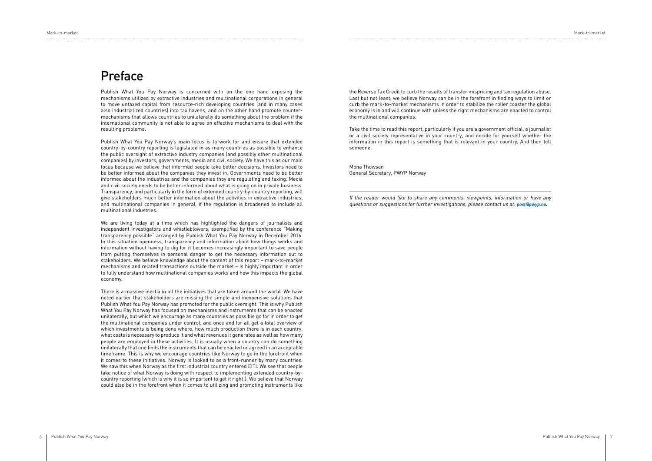Mark-to-market Mark-to-market

Publish What You Pay Norway is concerned with on the one hand exposing the mechanisms utilized by extractive industries and multinational corporations in general to move untaxed capital from resource-rich developing countries (and in many cases also industrialized countries) into tax havens, and on the other hand promote countermechanisms that allows countries to unilaterally do something about the problem if the international community is not able to agree on effective mechanisms to deal with the resulting problems.

Publish What You Pay Norway's main focus is to work for and ensure that extended country-by-country reporting is legislated in as many countries as possible to enhance the public oversight of extractive industry companies (and possibly other multinational companies) by investors, governments, media and civil society. We have this as our main focus because we believe that informed people take better decisions. Investors need to be better informed about the companies they invest in. Governments need to be better informed about the industries and the companies they are regulating and taxing. Media and civil society needs to be better informed about what is going on in private business. Transparency, and particularly in the form of extended country-by-country reporting, will give stakeholders much better information about the activities in extractive industries, and multinational companies in general, if the regulation is broadened to include all multinational industries.

We are living today at a time which has highlighted the dangers of journalists and independent investigators and whistleblowers, exemplified by the conference "Making transparency possible" arranged by Publish What You Pay Norway in December 2016. In this situation openness, transparency and information about how things works and information without having to dig for it becomes increasingly important to save people from putting themselves in personal danger to get the necessary information out to stakeholders. We believe knowledge about the content of this report – mark-to-market mechanisms and related transactions outside the market – is highly important in order to fully understand how multinational companies works and how this impacts the global economy.

There is a massive inertia in all the initiatives that are taken around the world. We have noted earlier that stakeholders are missing the simple and inexpensive solutions that Publish What You Pay Norway has promoted for the public oversight. This is why Publish What You Pay Norway has focused on mechanisms and instruments that can be enacted unilaterally, but which we encourage as many countries as possible go for in order to get the multinational companies under control, and once and for all get a total overview of which investments is being done where, how much production there is in each country, what costs is necessary to produce it and what revenues it generates as well as how many people are employed in these activities. It is usually when a country can do something unilaterally that one finds the instruments that can be enacted or agreed in an acceptable timeframe. This is why we encourage countries like Norway to go in the forefront when it comes to these initiatives. Norway is looked to as a front-runner by many countries. We saw this when Norway as the first industrial country entered EITI. We see that people take notice of what Norway is doing with respect to implementing extended country-bycountry reporting (which is why it is so important to get it right!). We believe that Norway could also be in the forefront when it comes to utilizing and promoting instruments like

# Preface

the Reverse Tax Credit to curb the results of transfer mispricing and tax regulation abuse. Last but not least, we believe Norway can be in the forefront in finding ways to limit or curb the mark-to-market mechanisms in order to stabilize the roller coaster the global economy is in and will continue with unless the right mechanisms are enacted to control the multinational companies.

Take the time to read this report, particularly if you are a government official, a journalist or a civil society representative in your country, and decide for yourself whether the information in this report is something that is relevant in your country. And then tell someone.

Mona Thowsen General Secretary, PWYP Norway

If the reader would like to share any comments, viewpoints, information or have any questions or suggestions for further investigations, please contact us at: **[post@pwyp.no](mailto:post%40pwyp.no?subject=).**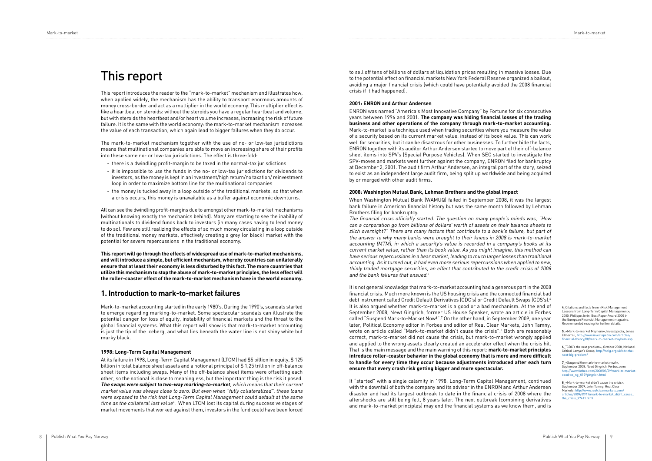This report introduces the reader to the "mark-to-market" mechanism and illustrates how, when applied widely, the mechanism has the ability to transport enormous amounts of money cross-border and act as a multiplier in the world economy. This multiplier effect is like a heartbeat on steroids: without the steroids you have a regular heartbeat and volume, but with steroids the heartbeat and/or heart volume increases, increasing the risk of future failure. It is the same with the world economy: the mark-to-market mechanism increases the value of each transaction, which again lead to bigger failures when they do occur.

The mark-to-market mechanism together with the use of no- or low-tax jurisdictions means that multinational companies are able to move an increasing share of their profits into these same no- or low-tax jurisdictions. The effect is three-fold:

- there is a dwindling profit-margin to be taxed in the normal-tax jurisdictions
- it is impossible to use the funds in the no- or low-tax jurisdictions for dividends to investors, as the money is kept in an investment/high return/no taxation/ reinvestment loop in order to maximize bottom line for the multinational companies
- the money is tucked away in a loop outside of the traditional markets, so that when a crisis occurs, this money is unavailable as a buffer against economic downturns.

All can see the dwindling profit-margins due to amongst other mark-to-market mechanisms (without knowing exactly the mechanics behind). Many are starting to see the inability of multinationals to dividend funds back to investors (in many cases having to lend money to do so). Few are still realizing the effects of so much money circulating in a loop outside of the traditional money markets, effectively creating a grey (or black) market with the potential for severe repercussions in the traditional economy.

to sell off tens of billions of dollars at liquidation prices resulting in massive losses. Due<br>to the potential effect on financial markets New York Federal Reserve organized a bailout, avoiding a major financial crisis (which could have potentially avoided the 2008 financial crisis if it had happened).

**This report will go through the effects of widespread use of mark-to-market mechanisms, and will introduce a simple, but efficient mechanism, whereby countries can unilaterally ensure that at least their economy is less disturbed by this fact. The more countries that utilize this mechanism to stop the abuse of mark-to-market principles, the less effect will the roller-coaster effect of the mark-to-market mechanism have in the world economy.**

#### **1. Introduction to mark-to-market failures**

Mark-to-market accounting started in the early 1980's. During the 1990's, scandals started to emerge regarding marking-to-market. Some spectacular scandals can illustrate the potential danger for loss of equity, instability of financial markets and the threat to the global financial systems. What this report will show is that mark-to-market accounting is just the tip of the iceberg, and what lies beneath the water line is not shiny white but murky black.

The financial crisis officially started. The question on many people's minds was, "How can a corporation go from billions of dollars' worth of assets on their balance sheets to zilch overnight?" There are many factors that contribute to a bank's failure, but part of the answer to why many banks were brought to their knees in 2008 is mark-to-market accounting (MTM), in which a security's value is recorded in a company's books at its current market value, rather than its book value. As you might imagine, this method can have serious repercussions in a bear market, leading to much larger losses than traditional accounting. As it turned out, it had even more serious repercussions when applied to new, thinly traded mortgage securities, an effect that contributed to the credit crisis of 2008 and the bank failures that ensued.<sup>5</sup>

#### **1998: Long-Term Capital Management**

At its failure in 1998, Long-Term Capital Management (LTCM) had \$5 billion in equity, \$ 125 billion in total balance sheet assets and a notional principal of \$ 1,25 trillion in off-balance sheet items including swaps. Many of the off-balance sheet items were offsetting each other, so the notional is close to meaningless, but the important thing is the risk it posed. **The swaps were subject to two-way marking-to-market**, which means that their current market value was always close to zero. But even when "fully collateralized", these loans were exposed to the risk that Long-Term Capital Management could default at the same time as the collateral lost value<sup>4</sup>. When LTCM lost its capital during successive stages of market movements that worked against them, investors in the fund could have been forced

#### **2001: ENRON and Arthur Andersen**

ENRON was named "America's Most Innovative Company" by Fortune for six consecutive years between 1996 and 2001. **The company was hiding financial losses of the trading business and other operations of the company through mark-to-market accounting.**  Mark-to-market is a technique used when trading securities where you measure the value of a security based on its current market value, instead of its book value. This can work well for securities, but it can be disastrous for other businesses. To further hide the facts, ENRON together with its auditor Arthur Andersen started to move part of their off-balance sheet items into SPV's (Special Purpose Vehicles). When SEC started to investigate the SPV-moves and markets went further against the company, ENRON filed for bankruptcy at December 2, 2001. The audit firm Arthur Andersen, an integral part of the story, seized to exist as an independent large audit firm, being split up worldwide and being acquired by or merged with other audit firms.

#### **2008: Washington Mutual Bank, Lehman Brothers and the global impact**

When Washington Mutual Bank (WAMUQ) failed in September 2008, it was the largest bank failure in American financial history but was the same month followed by Lehman Brothers filing for bankruptcy.

It is not general knowledge that mark-to-market accounting had a generous part in the 2008 financial crisis. Much more known is the US housing crisis and the connected financial bad debt instrument called Credit Default Derivatives (CDC's) or Credit Default Swaps (CDS's).6 It is also argued whether mark-to-market is a good or a bad mechanism. At the end of September 2008, Newt Gingrich, former US House Speaker, wrote an article in Forbes called "Suspend Mark-to-Market Now!".7 On the other hand, in September 2009, one year later, Political Economy editor in Forbes and editor of Real Clear Markets, John Tamny, wrote on article called "Mark-to-market didn't cause the crisis".8 Both are reasonably correct, mark-to-market did not cause the crisis, but mark-to-market wrongly applied and applied to the wrong assets clearly created an accelerator effect when the crisis hit. That is the main message and the main warning of this report: **mark-to-market principles introduce roller-coaster behavior in the global economy that is more and more difficult to handle for every time they occur because adjustments introduced after each turn ensure that every crash risk getting bigger and more spectacular.**

It "started" with a single calamity in 1998, Long-Term Capital Management, continued with the downfall of both the company and its advisor in the ENRON and Arthur Andersen disaster and had its largest outbreak to date in the financial crisis of 2008 where the aftershocks are still being felt, 8 years later. The next outbreak (combining derivatives and mark-to-market principles) may end the financial systems as we know them, and is **4**\_Citations and facts from «Risk Management Lessons from Long-Term Capital Manage 2000, Philippe Jorin, Best Paper Award 2000 in the European Financial Management magazine. Recommended reading for further details.

**5**\_«Mark-to-market Mayhem», Investopedia, Jonas Elmerraji, [http://www.investopedia.com/articles/](http://www.investopedia.com/articles/financial-theory/08/mark-to-market-mayhem.asp) [financial-theory/08/mark-to-market-mayhem.asp](http://www.investopedia.com/articles/financial-theory/08/mark-to-market-mayhem.asp)

**6**\_"CDC's the next problem», October 2008, National Critical Lawyer's Group, [http://nclg.org.uk/cdc-the](http://nclg.org.uk/cdc-the-next-big-problem/)[next-big-problem/](http://nclg.org.uk/cdc-the-next-big-problem/)

 **7**\_«Suspend the mark-to-market now!», September 2008, Newt Gingrich, Forbes.com; http://www.forbes.com/20 [oped-cx\\_ng\\_0929gingrich.html](http://www.forbes.com/2008/09/29/mark-to-market-oped-cx_ng_0929gingrich.html)

**8**\_«Mark-to-market didn't cause the crisis», September 2009, John Tamny, Real Clear Markets; [http://www.realclearmarkets.com/](http://www.realclearmarkets.com/articles/2009/09/17/mark-to-market_didnt_cause_the_crisis_97411.html) [articles/2009/09/17/mark-to-market\\_didnt\\_cause\\_](http://www.realclearmarkets.com/articles/2009/09/17/mark-to-market_didnt_cause_the_crisis_97411.html) [the\\_crisis\\_97411.html](http://www.realclearmarkets.com/articles/2009/09/17/mark-to-market_didnt_cause_the_crisis_97411.html)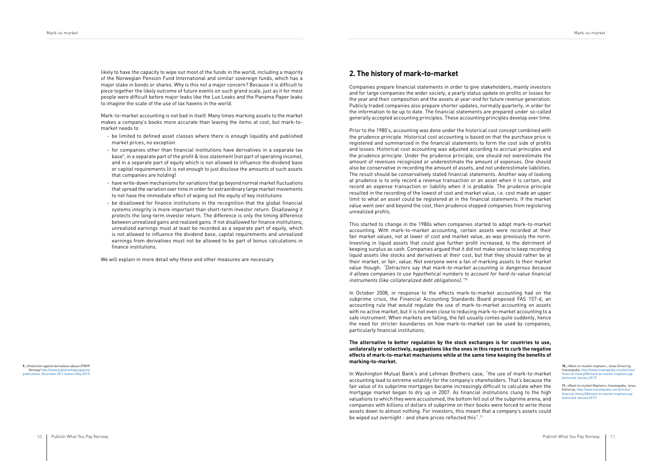likely to have the capacity to wipe out most of the funds in the world, including a majority of the Norwegian Pension Fund International and similar sovereign funds, which has a major stake in bonds or shares. Why is this not a major concern? Because it is difficult to piece together the likely outcome of future events on such grand scale, just as it for most people were difficult before major leaks like the Lux Leaks and the Panama Paper leaks to imagine the scale of the use of tax havens in the world.

Mark-to-market accounting is not bad in itself. Many times marking assets to the market makes a company's books more accurate than leaving the items at cost, but mark-tomarket needs to

- be limited to defined asset classes where there is enough liquidity and published market prices, no exception
- for companies other than financial institutions have derivatives in a separate tax base9 , in a separate part of the profit & loss statement (not part of operating income), and in a separate part of equity which is not allowed to influence the dividend base or capital requirements (it is not enough to just disclose the amounts of such assets that companies are holding)
- have write-down mechanisms for variations that go beyond normal market fluctuations that spread the variation over time in order for extraordinary large market movements to not have the immediate effect of wiping out the equity of key institutions
- be disallowed for finance institutions in the recognition that the global financial systems integrity is more important than short-term investor return. Disallowing it protects the long-term investor return. The difference is only the timing difference between unrealized gains and realized gains. If not disallowed for finance institutions, unrealized earnings must at least be recorded as a separate part of equity, which is not allowed to influence the dividend base, capital requirements and unrealized earnings from derivatives must not be allowed to be part of bonus calculations in finance institutions.

We will explain in more detail why these and other measures are necessary.

#### **2. The history of mark-to-market**

Companies prepare financial statements in order to give stakeholders, mainly investors and for large companies the wider society, a yearly status update on profits or losses for the year and their composition and the assets at year-end for future revenue generation. Publicly traded companies also prepare shorter updates, normally quarterly, in order for the information to be up to date. The financial statements are prepared under so-called generally accepted accounting principles. These accounting principles develop over time.

Prior to the 1980's, accounting was done under the historical cost concept combined with the prudence principle. Historical cost accounting is based on that the purchase price is registered and summarized in the financial statements to form the cost side of profits and losses. Historical cost accounting was adjusted according to accrual principles and the prudence principle. Under the prudence principle, one should not overestimate the amount of revenues recognized or underestimate the amount of expenses. One should also be conservative in recording the amount of assets, and not underestimate liabilities. The result should be conservatively stated financial statements. Another way of looking at prudence is to only record a revenue transaction or an asset when it is certain, and record an expense transaction or liability when it is probable. The prudence principle resulted in the recording of the lowest of cost and market value, i.e. cost made an upper limit to what an asset could be registered at in the financial statements. If the market value went over and beyond the cost, then prudence stopped companies from registering unrealized profits.

This started to change in the 1980s when companies started to adopt mark-to-market accounting. With mark-to-market accounting, certain assets were recorded at their fair market values, not at lower of cost and market value, as was previously the norm. Investing in liquid assets that could give further profit increased, to the detriment of keeping surplus as cash. Companies argued that it did not make sense to keep recording liquid assets like stocks and derivatives at their cost, but that they should rather be at their market, or fair, value. Not everyone were a fan of marking assets to their market value though: "Detractors say that mark-to-market accounting is dangerous because it allows companies to use hypothetical numbers to account for hard-to-value financial instruments (like collateralized debt obligations)."<sup>10</sup>

In October 2008, in response to the effects mark-to-market accounting had on the subprime crisis, the Financial Accounting Standards Board proposed FAS 157-d, an accounting rule that would regulate the use of mark-to-market accounting on assets with no active market, but it is not even close to reducing mark-to-market accounting to a safe instrument. When markets are falling, the fall usually comes quite suddenly, hence the need for stricter boundaries on how mark-to-market can be used by companies, particularly financial institutions.

#### **The alternative to better regulation by the stock exchanges is for countries to use, unilaterally or collectively, suggestions like the ones in this report to curb the negative effects of mark-to-market mechanisms while at the same time keeping the benefits of marking-to-market.**

In Washington Mutual Bank's and Lehman Brothers case, "the use of mark-to-market accounting lead to extreme volatility for the company's shareholders. That's because the fair value of its subprime mortgages became increasingly difficult to calculate when the mortgage market began to dry up in 2007. As financial institutions clung to the high valuations to which they were accustomed, the bottom fell out of the subprime arena, and companies with billions of dollars of subprime on their books were forced to write those assets down to almost nothing. For investors, this meant that a company's assets could be wiped out overnight - and share prices reflected this".11

#### **9**\_«Protection against derivatives abuse»/PWYP Norway/ [http://www.publishwhatyoupay.no/](http://www.publishwhatyoupay.no/publications, December 2011 (extract May 2017)) [publications, December 2011 \(extract May 2017\)](http://www.publishwhatyoupay.no/publications, December 2011 (extract May 2017))

**10**\_«Mark-to-market mayhem», Jonas Elmerraji, Investopedia; http://www.investopedia.com/art [financial-theory/08/mark-to-market-mayhem.asp](http://www.investopedia.com/articles/financial-theory/08/mark-to-market-mayhem.asp (extracted Januar)  [\(extracted January 2017\)](http://www.investopedia.com/articles/financial-theory/08/mark-to-market-mayhem.asp (extracted Januar)

**11**\_«Mark-to-market Mayhem», Investopedia, Jonas Elmerraji, [http://www.investopedia.com/articles/](http://www.investopedia.com/articles/financial-theory/08/mark-to-market-mayhem.asp (extracted Januar) [financial-theory/08/mark-to-market-mayhem.asp](http://www.investopedia.com/articles/financial-theory/08/mark-to-market-mayhem.asp (extracted Januar)  [\(extracted January 2017\)](http://www.investopedia.com/articles/financial-theory/08/mark-to-market-mayhem.asp (extracted Januar)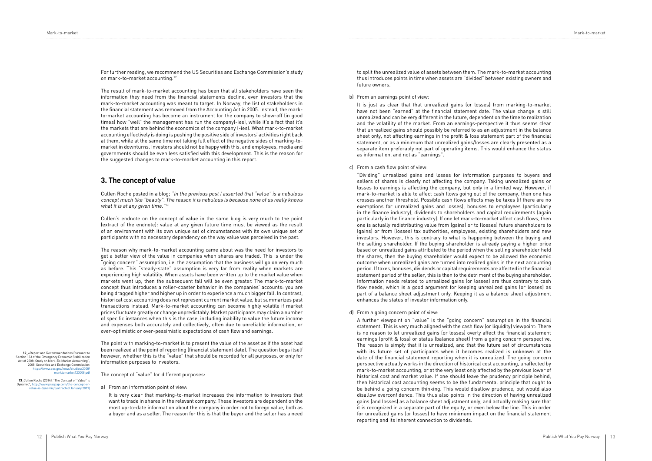For further reading, we recommend the US Securities and Exchange Commission's study on mark-to-market accounting.12

Cullen Roche posted in a blog; "In the previous post I asserted that "value" is a nebulous concept much like "beauty". The reason it is nebulous is because none of us really knows what it is at any given time."<sup>13</sup>

The result of mark-to-market accounting has been that all stakeholders have seen the information they need from the financial statements decline, even investors that the mark-to-market accounting was meant to target. In Norway, the list of stakeholders in the financial statement was removed from the Accounting Act in 2005. Instead, the markto-market accounting has become an instrument for the company to show-off (in good times) how "well" the management has run the company(-ies), while it's a fact that it's the markets that are behind the economics of the company (-ies). What mark-to-market accounting effectively is doing is pushing the positive side of investors' activities right back at them, while at the same time not taking full effect of the negative sides of marking-tomarket in downturns. Investors should not be happy with this, and employees, media and governments should be even less satisfied with this development. This is the reason for the suggested changes to mark-to-market accounting in this report.

#### **3. The concept of value**

Cullen's endnote on the concept of value in the same blog is very much to the point (extract of the endnote): value at any given future time must be viewed as the result of an environment with its own unique set of circumstances with its own unique set of participants with no necessary dependency on the way value was perceived in the past.

The reason why mark-to-market accounting came about was the need for investors to get a better view of the value in companies when shares are traded. This is under the "going concern" assumption, i.e. the assumption that the business will go on very much as before. This "steady-state" assumption is very far from reality when markets are experiencing high volatility. When assets have been written up to the market value when markets went up, then the subsequent fall will be even greater. The mark-to-market concept thus introduces a roller-coaster behavior in the companies' accounts: you are being dragged higher and higher up in order to experience a much bigger fall. In contrast, historical cost accounting does not represent current market value, but summarizes past transactions instead. Mark-to-market accounting can become highly volatile if market prices fluctuate greatly or change unpredictably. Market participants may claim a number of specific instances when this is the case, including inability to value the future income and expenses both accurately and collectively, often due to unreliable information, or over-optimistic or over-pessimistic expectations of cash flow and earnings.

The point with marking-to-market is to present the value of the asset as if the asset had been realized at the point of reporting (financial statement date). The question begs itself however, whether this is the "value" that should be recorded for all purposes, or only for information purposes to investors.

The concept of "value" for different purposes:

a) From an information point of view:

It is very clear that marking-to-market increases the information to investors that want to trade in shares in the relevant company. These investors are dependent on the most up-to-date information about the company in order not to forego value, both as a buyer and as a seller. The reason for this is that the buyer and the seller has a need to split the unrealized value of assets between them. The mark-to-market accounting thus introduces points in time when assets are "divided" between existing owners and future owners.

**12**\_«Report and Recommendations Pursuant to Section 133 of the Emergency Economic Stabilization Act of 2008: Study on Mark-To-Market Accounting", 2008, Securities and Exchange Commission w.sec.gov [marktomarket123008.pdf](https://www.sec.gov/news/studies/2008/marktomarket123008.pdf )

#### b) From an earnings point of view:

It is just as clear that that unrealized gains (or losses) from marking-to-market have not been "earned" at the financial statement date. The value change is still unrealized and can be very different in the future, dependent on the time to realization and the volatility of the market. From an earnings-perspective it thus seems clear that unrealized gains should possibly be referred to as an adjustment in the balance sheet only, not affecting earnings in the profit & loss statement part of the financial statement, or as a minimum that unrealized gains/losses are clearly presented as a separate item preferably not part of operating items. This would enhance the status as information, and not as "earnings".

c) From a cash flow point of view:

"Dividing" unrealized gains and losses for information purposes to buyers and sellers of shares is clearly not affecting the company. Taking unrealized gains or losses to earnings is affecting the company, but only in a limited way. However, if mark-to-market is able to affect cash flows going out of the company, then one has crosses another threshold. Possible cash flows effects may be taxes (if there are no exemptions for unrealized gains and losses), bonuses to employees (particularly in the finance industry), dividends to shareholders and capital requirements (again particularly in the finance industry). If one let mark-to-market affect cash flows, then one is actually redistributing value from (gains) or to (losses) future shareholders to (gains) or from (losses) tax authorities, employees, existing shareholders and new investors. However, this is contrary to what is happening between the buying and the selling shareholder. If the buying shareholder is already paying a higher price based on unrealized gains attributed to the period when the selling shareholder held the shares, then the buying shareholder would expect to be allowed the economic outcome when unrealized gains are turned into realized gains in the next accounting period. If taxes, bonuses, dividends or capital requirements are affected in the financial statement period of the seller, this is then to the detriment of the buying shareholder. Information needs related to unrealized gains (or losses) are thus contrary to cash flow needs, which is a good argument for keeping unrealized gains (or losses) as part of a balance sheet adjustment only. Keeping it as a balance sheet adjustment enhances the status of investor information only.

d) From a going concern point of view:

A further viewpoint on "value" is the "going concern" assumption in the financial statement. This is very much aligned with the cash flow (or liquidity) viewpoint: There is no reason to let unrealized gains (or losses) overly affect the financial statement earnings (profit & loss) or status (balance sheet) from a going concern perspective. The reason is simply that it is unrealized, and that the future set of circumstances with its future set of participants when it becomes realized is unknown at the date of the financial statement reporting when it is unrealized. The going concern perspective actually works in the direction of historical cost accounting, unaffected by mark-to-market accounting, or at the very least only affected by the previous lower of historical cost and market value. If one should leave the prudency principle behind, then historical cost accounting seems to be the fundamental principle that ought to be behind a going concern thinking. This would disallow prudence, but would also disallow overconfidence. This thus also points in the direction of having unrealized gains (and losses) as a balance sheet adjustment only, and actually making sure that it is recognized in a separate part of the equity, or even below the line. This in order for unrealized gains (or losses) to have minimum impact on the financial statement reporting and its inherent connection to dividends.

**13**\_Cullen Roche (2014), "The Concept of "Value" is Dynamic", [http://www.pragcap.com/the-concept-of-](http://www.pragcap.com/the-concept-of-value-is-dynamic/ (extracted January 2017) )[value-is-dynamic/ \(extracted January 2017\)](http://www.pragcap.com/the-concept-of-value-is-dynamic/ (extracted January 2017) )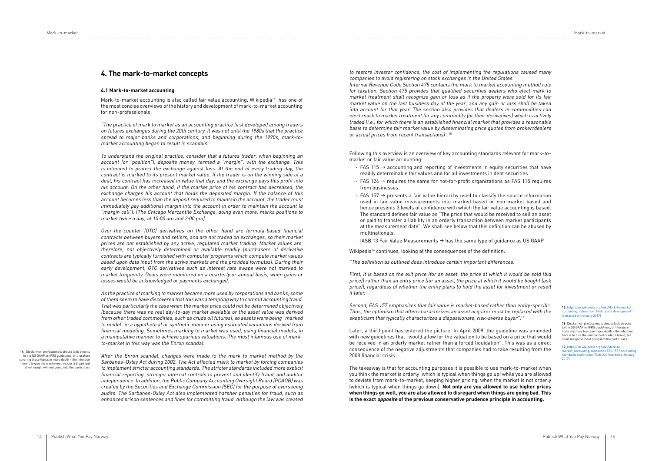#### **4.1 Mark-to-market accounting**

Mark-to-market accounting is also called fair value accounting. Wikipedia14 has one of the most concise overviews of the history and development of mark-to-market accounting for non-professionals:

"The practice of mark to market as an accounting practice first developed among traders on futures exchanges during the 20th century. It was not until the 1980s that the practice spread to major banks and corporations, and beginning during the 1990s, mark-tomarket accounting began to result in scandals.

To understand the original practice, consider that a futures trader, when beginning an account (or "position"), deposits money, termed a "margin", with the exchange. This is intended to protect the exchange against loss. At the end of every trading day, the contract is marked to its present market value. If the trader is on the winning side of a deal, his contract has increased in value that day, and the exchange pays this profit into his account. On the other hand, if the market price of his contract has decreased, the exchange charges his account that holds the deposited margin. If the balance of this account becomes less than the deposit required to maintain the account, the trader must immediately pay additional margin into the account in order to maintain the account (a "margin call"). (The Chicago Mercantile Exchange, doing even more, marks positions to market twice a day, at 10:00 am and 2:00 pm).

Over-the-counter (OTC) derivatives on the other hand are formula-based financial contracts between buyers and sellers, and are not traded on exchanges, so their market prices are not established by any active, regulated market trading. Market values are, therefore, not objectively determined or available readily (purchasers of derivative contracts are typically furnished with computer programs which compute market values based upon data input from the active markets and the provided formulas). During their early development, OTC derivatives such as interest rate swaps were not marked to market frequently. Deals were monitored on a quarterly or annual basis, when gains or losses would be acknowledged or payments exchanged.

**4. The mark-to-market concepts to restore investor confidence**, the cost of implementing the regulations caused many companies to avoid registering on stock exchanges in the United States. Internal Revenue Code Section 475 contains the mark to market accounting method rule for taxation. Section 475 provides that qualified securities dealers who elect mark to market treatment shall recognize gain or loss as if the property were sold for its fair market value on the last business day of the year, and any gain or loss shall be taken into account for that year. The section also provides that dealers in commodities can elect mark to market treatment for any commodity (or their derivatives) which is actively traded (i.e., for which there is an established financial market that provides a reasonable basis to determine fair market value by disseminating price quotes from broker/dealers or actual prices from recent transactions)".<sup>15</sup>

As the practice of marking to market became more used by corporations and banks, some of them seem to have discovered that this was a tempting way to commit accounting fraud. That was particularly the case when the market price could not be determined objectively (because there was no real day-to-day market available or the asset value was derived from other traded commodities, such as crude oil futures), so assets were being "marked to model" in a hypothetical or synthetic manner using estimated valuations derived from financial modeling. Sometimes marking to market was used, using financial models, in a manipulative manner to achieve spurious valuations. The most infamous use of markto-market in this way was the Enron scandal.

After the Enron scandal, changes were made to the mark to market method by the Sarbanes–Oxley Act during 2002. The Act affected mark to market by forcing companies to implement stricter accounting standards. The stricter standards included more explicit financial reporting, stronger internal controls to prevent and identify fraud, and auditor independence. In addition, the Public Company Accounting Oversight Board (PCAOB) was created by the Securities and Exchange Commission (SEC) for the purpose of overseeing audits. The Sarbanes-Oxley Act also implemented harsher penalties for fraud, such as enhanced prison sentences and fines for committing fraud. Although the law was created

Following this overview is an overview of key accounting standards relevant for mark-tomarket or fair value accounting:

- FAS 115  $\rightarrow$  accounting and reporting of investments in equity securities that have readily determinable fair values and for all investments in debt securities
- FAS 124  $\rightarrow$  requires the same for not-for-profit organizations as FAS 115 requires from businesses
- FAS 157  $\rightarrow$  presents a fair value hierarchy used to classify the source information used in fair value measurements into marked-based or non-market based and hence presents 3 levels of confidence with which the fair value accounting is based. The standard defines fair value as "The price that would be received to sell an asset or paid to transfer a liability in an orderly transaction between market participants at the measurement date". We shall see below that this definition can be abused by multinationals.
- IASB 13 Fair Value Measurements  $\rightarrow$  has the same type of guidance as US GAAP

Wikipedia<sup>16</sup> continues, looking at the consequences of the definition:

"The definition as outlined does introduce certain important differences.

First, it is based on the exit price (for an asset, the price at which it would be sold (bid price)) rather than an entry price (for an asset, the price at which it would be bought (ask price)), regardless of whether the entity plans to hold the asset for investment or resell it later.

Second, FAS 157 emphasizes that fair value is market-based rather than entity-specific. Thus, the optimism that often characterizes an asset acquirer must be replaced with the skepticism that typically characterizes a dispassionate, risk-averse buyer".<sup>17</sup>

Later, a third point has entered the picture: In April 2009, the guideline was amended with new guidelines that "would allow for the valuation to be based on a price that would be received in an orderly market rather than a forced liquidation". This was as a direct consequence of the negative adjustments that companies had to take resulting from the 2008 financial crisis.

The takeaway is that for accounting purposes it is possible to use mark-to-market when you think the market is orderly (which is typical when things go up) while you are allowed to deviate from mark-to-market, keeping higher pricing, when the market is not orderly (which is typical when things go down). **Not only are you allowed to use higher prices when things go well, you are also allowed to disregard when things are going bad. This is the exact opposite of the previous conservative prudence principle in accounting.** 

**15**\_[https://en.wikipedia.org/wiki/Mark-to-market\\_](https://en.wikipedia.org/wiki/Mark-to-market_accounting, subsection “History and development” (extra) part subsection "History and development", [\(extracted on January 2017\)](https://en.wikipedia.org/wiki/Mark-to-market_accounting, subsection “History and development” (extra)

**16**\_Disclaimer: professionals should look directly to the US GAAP or IFRS guidelines, or literature covering these topics in more depth – the intention here is to give the uninformed reader a broad, but short insight without going into the particulars

**17**\_[https://en.wikipedia.org/wiki/Mark-to](https://en.wikipedia.org/wiki/Mark-to-market_accounting, subsection FAS 157 / Accounting Standards C)[market\\_accounting, subsection FAS 157 / Accounting](https://en.wikipedia.org/wiki/Mark-to-market_accounting, subsection FAS 157 / Accounting Standards C) [Standards Codification Topic 820 \(extracted January](https://en.wikipedia.org/wiki/Mark-to-market_accounting, subsection FAS 157 / Accounting Standards C)  [2017\)](https://en.wikipedia.org/wiki/Mark-to-market_accounting, subsection FAS 157 / Accounting Standards C)

**14**\_ Disclaimer: professionals should look directly to the US GAAP or IFRS guidelines, or literature covering these topics in more depth – the intention here is to give the uninformed reader a broad, but short insight without going into the particulars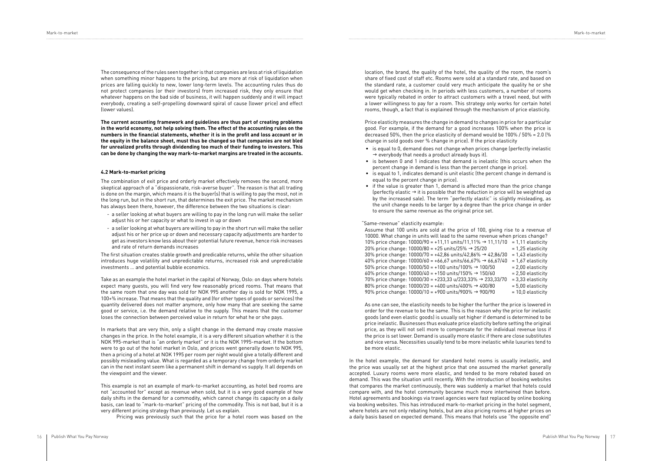Mark-to-market Mark-to-market

|        | $= 100$              |
|--------|----------------------|
| ,33/70 | = 3,33 elasticity    |
| 0      | $= 5.00$ elasticity  |
| Ŋ      | $= 10.0$ elasticity. |

The consequence of the rules seen together is that companies are less at risk of liquidation when something minor happens to the pricing, but are more at risk of liquidation when prices are falling quickly to new, lower long-term levels. The accounting rules thus do not protect companies (or their investors) from increased risk, they only ensure that whatever happens on the bad side of business, it will happen suddenly and it will impact everybody, creating a self-propelling downward spiral of cause (lower price) and effect (lower values).

**The current accounting framework and guidelines are thus part of creating problems in the world economy, not help solving them. The effect of the accounting rules on the numbers in the financial statements, whether it is in the profit and loss account or in the equity in the balance sheet, must thus be changed so that companies are not bled for unrealized profits through dividending too much of their funding to investors. This can be done by changing the way mark-to-market margins are treated in the accounts.** 

#### **4.2 Mark-to-market pricing**

The combination of exit price and orderly market effectively removes the second, more skeptical approach of a "dispassionate, risk-averse buyer". The reason is that all trading is done on the margin, which means it is the buyer(s) that is willing to pay the most, not in the long run, but in the short run, that determines the exit price. The market mechanism has always been there, however, the difference between the two situations is clear:

- a seller looking at what buyers are willing to pay in the long run will make the seller adjust his or her capacity or what to invest in up or down
- a seller looking at what buyers are willing to pay in the short run will make the seller adjust his or her price up or down and necessary capacity adjustments are harder to get as investors know less about their potential future revenue, hence risk increases and rate of return demands increases

The first situation creates stable growth and predicable returns, while the other situation introduces huge volatility and unpredictable returns, increased risk and unpredictable investments … and potential bubble economics.

Take as an example the hotel market in the capital of Norway, Oslo: on days where hotels expect many guests, you will find very few reasonably priced rooms. That means that the same room that one day was sold for NOK 995 another day is sold for NOK 1995, a 100+% increase. That means that the quality and (for other types of goods or services) the quantity delivered does not matter anymore, only how many that are seeking the same good or service, i.e. the demand relative to the supply. This means that the customer loses the connection between perceived value in return for what he or she pays.

 Assume that 100 units are sold at the price of 100, giving rise to a revenue of 10000. What change in units will lead to the same revenue when prices change? 10% price change: 10000/90 = +11,11 units/11,11% g 11,11/10 = 1,11 elasticity 20% price change: 10000/80 = +25 units/25% → 25/20  $= 1,25$  elasticity 30% price change: 10000/70 = +42,86 units/42,86% → 42,86/30  $\,$  = 1,43 elasticity 40% price change: 10000/60 = +66,67 units/66,67% → 66,67/40 = 1,67 elasticity 50% price change:  $10000/50 = +100$  units/100%  $\rightarrow$  100/50 = 2.00 elasticity 60% price change:  $10000/40 = +150$  units/150%  $\rightarrow$  150/60  $= 2.50$  elasticity 70% price change: 10000/30 = +233,33 u/233,33% → 233,33/70 = 3,33 elasticity 80% price change: 10000/20 = +400 units/400% → 400/80 = 5,00 elasticity 90% price change: 10000/10 = +900 units/900% → 900/90 = 10,0 elasticity

In markets that are very thin, only a slight change in the demand may create massive changes in the price. In the hotel example, it is a very different situation whether it is the NOK 995-market that is "an orderly market" or it is the NOK 1995-market. If the bottom were to go out of the hotel market in Oslo, and prices went generally down to NOK 995, then a pricing of a hotel at NOK 1995 per room per night would give a totally different and possibly misleading value. What is regarded as a temporary change from orderly market can in the next instant seem like a permanent shift in demand vs supply. It all depends on the viewpoint and the viewer.

This example is not an example of mark-to-market accounting, as hotel bed rooms are not "accounted for" except as revenue when sold, but it is a very good example of how daily shifts in the demand for a commodity, which cannot change its capacity on a daily basis, can lead to "mark-to-market" pricing of the commodity. This is not bad, but it is a very different pricing strategy than previously. Let us explain.

Pricing was previously such that the price for a hotel room was based on the

location, the brand, the quality of the hotel, the quality of the room, the room's share of fixed cost of staff etc. Rooms were sold at a standard rate, and based on the standard rate, a customer could very much anticipate the quality he or she would get when checking in. In periods with less customers, a number of rooms were typically rebated in order to attract customers with a travel need, but with a lower willingness to pay for a room. This strategy only works for certain hotel rooms, though, a fact that is explained through the mechanism of price elasticity.

 Price elasticity measures the change in demand to changes in price for a particular good. For example, if the demand for a good increases 100% when the price is decreased 50%, then the price elasticity of demand would be 100% / 50% = 2.0 (% change in sold goods over % change in price). If the price elasticity

- is equal to 0, demand does not change when prices change (perfectly inelastic  $\rightarrow$  everybody that needs a product already buys it).
- is between 0 and 1 indicates that demand is inelastic (this occurs when the percent change in demand is less than the percent change in price).
- is equal to 1, indicates demand is unit elastic (the percent change in demand is equal to the percent change in price).
- if the value is greater than 1, demand is affected more than the price change (perfectly elastic  $\rightarrow$  it is possible that the reduction in price will be weighted up by the increased sale). The term "perfectly elastic" is slightly misleading, as the unit change needs to be larger by a degree than the price change in order to ensure the same revenue as the original price set.

"Same-revenue" elasticity example:

 As one can see, the elasticity needs to be higher the further the price is lowered in order for the revenue to be the same. This is the reason why the price for inelastic goods (and even elastic goods) is usually set higher if demand is determined to be price inelastic. Businesses thus evaluate price elasticity before setting the original price, as they will not sell more to compensate for the individual revenue loss if the price is set lower. Demand is usually more elastic if there are close substitutes and vice versa. Necessities usually tend to be more inelastic while luxuries tend to be more elastic.

In the hotel example, the demand for standard hotel rooms is usually inelastic, and the price was usually set at the highest price that one assumed the market generally accepted. Luxury rooms were more elastic, and tended to be more rebated based on demand. This was the situation until recently. With the introduction of booking websites that compares the market continuously, there was suddenly a market that hotels could compare with, and the hotel community became much more intertwined than before. Hotel agreements and bookings via travel agencies were fast replaced by online booking via booking websites. This has introduced mark-to-market pricing in the hotel segment, where hotels are not only rebating hotels, but are also pricing rooms at higher prices on a daily basis based on expected demand. This means that hotels use "the opposite end"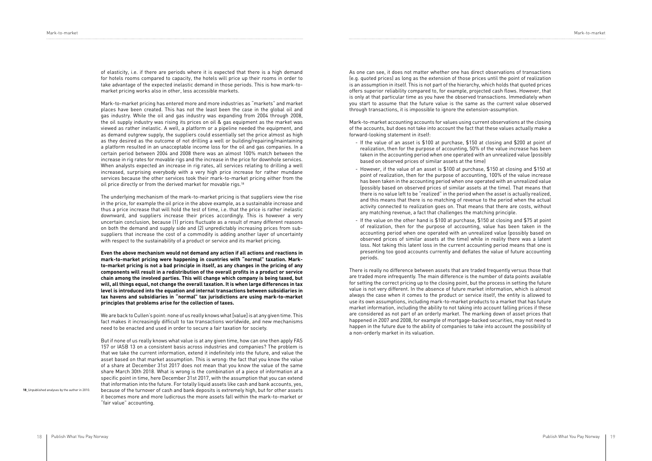Mark-to-market pricing has entered more and more industries as "markets" and market places have been created. This has not the least been the case in the global oil and gas industry. While the oil and gas industry was expanding from 2004 through 2008, the oil supply industry was rising its prices on oil & gas equipment as the market was viewed as rather inelastic. A well, a platform or a pipeline needed the equipment, and as demand outgrew supply, the suppliers could essentially set the price almost as high as they desired as the outcome of not drilling a well or building/repairing/maintaining a platform resulted in an unacceptable income loss for the oil and gas companies. In a certain period between 2004 and 2008 there was an almost 100% match between the increase in rig rates for movable rigs and the increase in the price for downhole services. When analysts expected an increase in rig rates, all services relating to drilling a well increased, surprising everybody with a very high price increase for rather mundane services because the other services took their mark-to-market pricing either from the oil price directly or from the derived market for movable rigs.<sup>18</sup>

of elasticity, i.e. if there are periods where it is expected that there is a high demand for hotels rooms compared to capacity, the hotels will price up their rooms in order to take advantage of the expected inelastic demand in those periods. This is how mark-tomarket pricing works also in other, less accessible markets.

The underlying mechanism of the mark-to-market pricing is that suppliers view the rise in the price, for example the oil price in the above example, as a sustainable increase and thus a price increase that will hold the test of time, i.e. that the price is rather inelastic downward, and suppliers increase their prices accordingly. This is however a very uncertain conclusion, because (1) prices fluctuate as a result of many different reasons on both the demand and supply side and (2) unpredictably increasing prices from subsuppliers that increase the cost of a commodity is adding another layer of uncertainty with respect to the sustainability of a product or service and its market pricing.

**Even the above mechanism would not demand any action if all actions and reactions in mark-to-market pricing were happening in countries with "normal" taxation. Markto-market pricing is not a bad principle in itself, as any changes in the pricing of any components will result in a redistribution of the overall profits in a product or service chain among the involved parties. This will change which company is being taxed, but will, all things equal, not change the overall taxation. It is when large differences in tax level is introduced into the equation and internal transactions between subsidiaries in tax havens and subsidiaries in "normal" tax jurisdictions are using mark-to-market principles that problems arise for the collection of taxes.**

We are back to Cullen's point: none of us really knows what [value] is at any given time. This fact makes it increasingly difficult to tax transactions worldwide, and new mechanisms need to be enacted and used in order to secure a fair taxation for society.

But if none of us really knows what value is at any given time, how can one then apply FAS 157 or IASB 13 on a consistent basis across industries and companies? The problem is that we take the current information, extend it indefinitely into the future, and value the asset based on that market assumption. This is wrong: the fact that you know the value of a share at December 31st 2017 does not mean that you know the value of the same share March 30th 2018. What is wrong is the combination of a piece of information at a specific point in time, here December 31st 2017, with the assumption that you can extend that information into the future. For totally liquid assets like cash and bank accounts, yes, because of the turnover of cash and bank deposits is extremely high, but for other assets it becomes more and more ludicrous the more assets fall within the mark-to-market or "fair value" accounting.

As one can see, it does not matter whether one has direct observations of transactions (e.g. quoted prices) as long as the extension of those prices until the point of realization is an assumption in itself. This is not part of the hierarchy, which holds that quoted prices offers superior reliability compared to, for example, projected cash flows. However, that is only at that particular time as you have the observed transactions. Immediately when you start to assume that the future value is the same as the current value observed through transactions, it is impossible to ignore the extension-assumption.

Mark-to-market accounting accounts for values using current observations at the closing of the accounts, but does not take into account the fact that these values actually make a forward-looking statement in itself:

- If the value of an asset is \$100 at purchase, \$150 at closing and \$200 at point of realization, then for the purpose of accounting, 50% of the value increase has been taken in the accounting period when one operated with an unrealized value (possibly based on observed prices of similar assets at the time)
- However, if the value of an asset is \$100 at purchase, \$150 at closing and \$150 at point of realization, then for the purpose of accounting, 100% of the value increase has been taken in the accounting period when one operated with an unrealized value (possibly based on observed prices of similar assets at the time). That means that there is no value left to be "realized" in the period when the asset is actually realized, and this means that there is no matching of revenue to the period when the actual activity connected to realization goes on. That means that there are costs, without any matching revenue, a fact that challenges the matching principle.
- If the value on the other hand is \$100 at purchase, \$150 at closing and \$75 at point of realization, then for the purpose of accounting, value has been taken in the accounting period when one operated with an unrealized value (possibly based on observed prices of similar assets at the time) while in reality there was a latent loss. Not taking this latent loss in the current accounting period means that one is presenting too good accounts currently and deflates the value of future accounting periods.

There is really no difference between assets that are traded frequently versus those that are traded more infrequently. The main difference is the number of data points available for setting the correct pricing up to the closing point, but the process in setting the future value is not very different. In the absence of future market information, which is almost always the case when it comes to the product or service itself, the entity is allowed to use its own assumptions, including mark-to-market products to a market that has future market information, including the ability to not taking into account falling prices if these are considered as not part of an orderly market. The marking down of asset prices that happened in 2007 and 2008, for example of mortgage-backed securities, may not need to happen in the future due to the ability of companies to take into account the possibility of a non-orderly market in its valuation.

**18**\_Unpublished analyses by the author in 2010.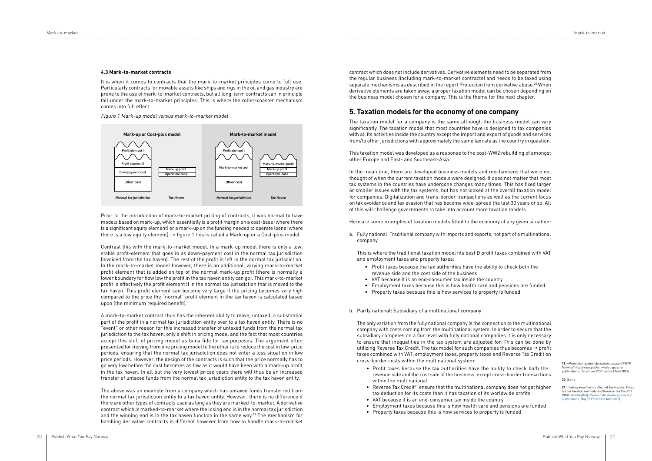#### **4.3 Mark-to-market contracts**

It is when it comes to contracts that the mark-to-market principles come to full use. Particularly contracts for movable assets like ships and rigs in the oil and gas industry are prone to the use of mark-to-market contracts, but all long-term contracts can in principle fall under the mark-to-market principles. This is where the roller-coaster mechanism comes into full effect.

Figure 1 Mark-up model versus mark-to-market model

Prior to the introduction of mark-to-market pricing of contracts, it was normal to have models based on mark-up, which essentially is a profit margin on a cost-base (where there is a significant equity element) or a mark-up on the funding needed to operate loans (where there is a low equity element). In figure 1 this is called a Mark-up or a Cost-plus model.

Contrast this with the mark-to-market model. In a mark-up model there is only a low, stable profit-element that goes in as down-payment cost in the normal tax jurisdiction (invoiced from the tax haven). The rest of the profit is left in the normal tax jurisdiction. In the mark-to-market model however, there is an additional, varying mark-to-market profit element that is added on top of the normal mark-up profit (there is normally a lower boundary for how low the profit in the tax haven entity can go). This mark-to-market profit is effectively the profit element II in the normal tax jurisdiction that is moved to the tax haven. This profit element can become very large if the pricing becomes very high compared to the price the "normal" profit element in the tax haven is calculated based upon (the minimum required benefit).

A mark-to-market contract thus has the inherent ability to move, untaxed, a substantial part of the profit in a normal tax jurisdiction entity over to a tax haven entity. There is no "event" or other reason for this increased transfer of untaxed funds from the normal tax jurisdiction to the tax haven, only a shift in pricing model and the fact that most countries accept this shift of pricing model as bona fide for tax purposes. The argument often presented for moving from one pricing model to the other is to reduce the cost in low-price periods, ensuring that the normal tax jurisdiction does not enter a loss situation in low price periods. However, the design of the contracts is such that the price normally has to go very low before the cost becomes as low as it would have been with a mark-up profit in the tax haven. In all but the very lowest priced years there will thus be an increased transfer of untaxed funds from the normal tax jurisdiction entity to the tax haven entity.

This is where the traditional taxation model fits best **D** profit taxes combined with VAT and employment taxes and property taxes:

The above was an example from a company which has untaxed funds transferred from the normal tax jurisdiction entity to a tax haven entity. However, there is no difference if there are other types of contracts used as long as they are marked-to-market. A derivative contract which is marked-to-market where the losing end is in the normal tax jurisdiction and the winning end is in the tax haven function in the same way.19 The mechanism for handling derivative contracts is different however from how to handle mark-to-market

contract which does not include derivatives. Derivative elements need to be separated from the regular business (including mark-to-market contracts) and needs to be taxed using separate mechanisms as described in the report Protection from derivative abuse.<sup>20</sup> When derivative elements are taken away, a proper taxation model can be chosen depending on the business model chosen for a company. This is the theme for the next chapter.

### **5. Taxation models for the economy of one company**

The taxation model for a company is the same although the business model can vary significantly. The taxation model that most countries have is designed to tax companies with all its activities inside the country except the import and export of goods and services from/to other jurisdictions with approximately the same tax rate as the country in question.

This taxation model was developed as a response to the post-WW2 rebuilding of amongst other Europe and East- and Southeast-Asia.

In the meantime, there are developed business models and mechanisms that were not thought of when the current taxation models were designed. It does not matter that most tax systems in the countries have undergone changes many times. This has fixed larger or smaller issues with the tax systems, but has not looked at the overall taxation model for companies. Digitalization and trans-border transactions as well as the current focus on tax avoidance and tax evasion that has become wide-spread the last 30 years or so. All of this will challenge governments to take into account more taxation models.

Here are some examples of taxation models fitted to the economy of any given situation:

a. Fully national: Traditional company with imports and exports, not part of a multinational company

- Profit taxes because the tax authorities have the ability to check both the revenue side and the cost side of the business
- VAT because it is an end-consumer tax inside the country
- Employment taxes because this is how health care and pensions are funded
- Property taxes because this is how services to property is funded

#### b. Partly national: Subsidiary of a multinational company

The only variation from the fully national company is the connection to the multinational company with costs coming from the multinational system. In order to secure that the subsidiary competes on a fair level with fully national companies it is only necessary to ensure that inequalities in the tax system are adjusted for. This can be done by utilizing Reverse Tax Credit. The tax model for such companies thus becomes  $\rightarrow$  profit taxes combined with VAT, employment taxes, property taxes and Reverse Tax Credit on cross-border costs within the multinational system:

- Profit taxes because the tax authorities have the ability to check both the revenue side and the cost side of the business, except cross-border transactions within the multinational
- Reverse Tax Credit<sup>21</sup> ensure that the multinational company does not get higher tax deduction for its costs than it has taxation of its worldwide profits
- VAT because it is an end-consumer tax inside the country
- Employment taxes because this is how health care and pensions are funded
- Property taxes because this is how services to property is funded

**19**\_«Protection against derivatives abuse»/PWYP Norway/ http://www.publishwhatyoupay.no/ publications, December 2011 (extract May 2017)

**20**\_Same

**21**\_"Taking away the tax effect of Tax Havens. Cross border taxation methods and Reverse Tax Credit"/ PWYP Norway/http://www.publishwhatyou [publications, May 2017 \(extract May 2017\)](http://www.publishwhatyoupay.no/publications, May 2017 (extract May 2017))

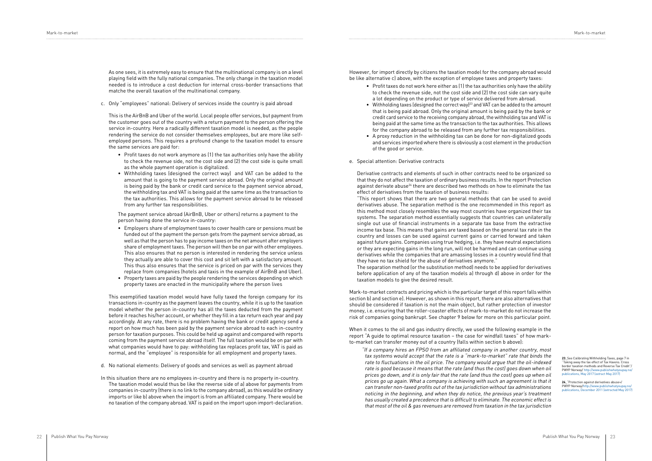As one sees, it is extremely easy to ensure that the multinational company is on a level playing field with the fully national companies. The only change in the taxation model needed is to introduce a cost deduction for internal cross-border transactions that matche the overall taxation of the multinational company.

c. Only "employees" national: Delivery of services inside the country is paid abroad

This is the AirBnB and Uber of the world. Local people offer services, but payment from the customer goes out of the country with a return payment to the person offering the service in-country. Here a radically different taxation model is needed, as the people rendering the service do not consider themselves employees, but are more like selfemployed persons. This requires a profound change to the taxation model to ensure the same services are paid for:

- Profit taxes do not work anymore as (1) the tax authorities only have the ability to check the revenue side, not the cost side and (2) the cost side is quite small as the whole payment operation is digitalized.
- Withholding taxes (designed the correct way) and VAT can be added to the amount that is going to the payment service abroad. Only the original amount is being paid by the bank or credit card service to the payment service abroad, the withholding tax and VAT is being paid at the same time as the transaction to the tax authorities. This allows for the payment service abroad to be released from any further tax responsibilities.

The payment service abroad (AirBnB, Uber or others) returns a payment to the person having done the service in-country:

- Employers share of employment taxes to cover health care or pensions must be funded out of the payment the person gets from the payment service abroad, as well as that the person has to pay income taxes on the net amount after employers share of employment taxes. The person will then be on par with other employees. This also ensures that no person is interested in rendering the service unless they actually are able to cover this cost and sit left with a satisfactory amount. This thus also ensures that the service is priced on par with the services they replace from companies (hotels and taxis in the example of AirBnB and Uber).
- Property taxes are paid by the people rendering the services depending on which property taxes are enacted in the municipality where the person lives

This exemplified taxation model would have fully taxed the foreign company for its transactions in-country as the payment leaves the country, while it is up to the taxation model whether the person in-country has all the taxes deducted from the payment before it reaches his/her account, or whether they fill in a tax return each year and pay accordingly. At any rate, there is no problem having the bank or credit agency send a report on how much has been paid by the payment service abroad to each in-country person for taxation purposes. This could be held up against and compared with reports coming from the payment service abroad itself. The full taxation would be on par with what companies would have to pay: withholding tax replaces profit tax, VAT is paid as normal, and the "employee" is responsible for all employment and property taxes.

- d. No national elements: Delivery of goods and services as well as payment abroad
- In this situation there are no employees in-country and there is no property in-country. The taxation model would thus be like the reverse side of a) above for payments from companies in-country (there is no link to the company abroad), as this would be ordinary imports or like b) above when the import is from an affiliated company. There would be no taxation of the company abroad. VAT is paid on the import upon import-declaration.

However, for import directly by citizens the taxation model for the company abroad would be like alternative c) above, with the exception of employee taxes and property taxes:

> **23** See Calibrating Withholding Taxes, page 7 in "Taking away the tax effect of Tax Havens. Cross border taxation methods and Reverse Tax Credit"/ PWYP Norway/ http://w [publications, May 2017 \(extract May 2017\)](http://www.publishwhatyoupay.no/publications, May 2017 (extract May 2017))

> **24**<sup>"</sup>Protection against derivatives abuse» PWYP Norway/[http://www.publishwhatyoupay.no/](http://www.publishwhatyoupay.no/publications, December 2011 (extracted May 2017) ) [publications, December 2011 \(extracted May 2017\)](http://www.publishwhatyoupay.no/publications, December 2011 (extracted May 2017) )

- Profit taxes do not work here either as (1) the tax authorities only have the ability to check the revenue side, not the cost side and (2) the cost side can vary quite a lot depending on the product or type of service delivered from abroad.
- Withholding taxes (designed the correct way)<sup>23</sup> and VAT can be added to the amount that is being paid abroad. Only the original amount is being paid by the bank or credit card service to the receiving company abroad, the withholding tax and VAT is being paid at the same time as the transaction to the tax authorities. This allows for the company abroad to be released from any further tax responsibilities.
- A proxy reduction in the withholding tax can be done for non-digitalized goods and services imported where there is obviously a cost element in the production of the good or service.
- e. Special attention: Derivative contracts

Derivative contracts and elements of such in other contracts need to be organized so that they do not affect the taxation of ordinary business results. In the report Protection against derivate abuse<sup>24</sup> there are described two methods on how to eliminate the tax effect of derivatives from the taxation of business results: "This report shows that there are two general methods that can be used to avoid derivatives abuse. The separation method is the one recommended in this report as this method most closely resembles the way most countries have organized their tax systems. The separation method essentially suggests that countries can unilaterally single out use of financial instruments in a separate tax base from the extractive income tax base. This means that gains are taxed based on the general tax rate in the country and losses can be used against current gains or carried forward and taken against future gains. Companies using true hedging, i.e. they have neutral expectations or they are expecting gains in the long run, will not be harmed and can continue using derivatives while the companies that are amassing losses in a country would find that they have no tax shield for the abuse of derivatives anymore." The separation method (or the substitution method) needs to be applied for derivatives before application of any of the taxation models a) through d) above in order for the taxation models to give the desired result.

Mark-to-market contracts and pricing which is the particular target of this report falls within section b) and section e). However, as shown in this report, there are also alternatives that should be considered if taxation is not the main object, but rather protection of investor money, i.e. ensuring that the roller-coaster effects of mark-to-market do not increase the risk of companies going bankrupt. See chapter 9 below for more on this particular point.

When it comes to the oil and gas industry directly, we used the following example in the report "A guide to optimal resource taxation – the case for windfall taxes" of how markto-market can transfer money out of a country (falls within section b above):

"If a company hires an FPSO from an affiliated company in another country, most tax systems would accept that the rate is a "mark-to-market" rate that binds the rate to fluctuations in the oil price. The company would argue that the oil-indexed rate is good because it means that the rate (and thus the cost) goes down when oil prices go down, and it is only fair that the rate (and thus the cost) goes up when oil prices go up again. What a company is achieving with such an agreement is that it can transfer non-taxed profits out of the tax jurisdiction without tax administrations noticing in the beginning, and when they do notice, the previous year's treatment has usually created a precedence that is difficult to eliminate. The economic effect is that most of the oil & gas revenues are removed from taxation in the tax jurisdiction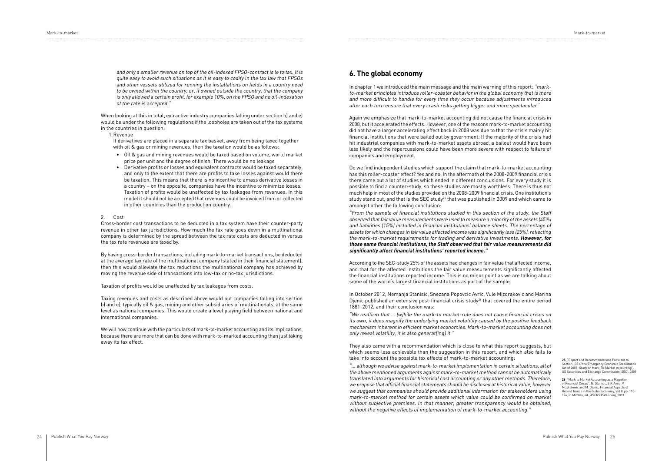Mark-to-market Mark-to-market

and only a smaller revenue on top of the oil-indexed FPSO-contract is le to tax. It is quite easy to avoid such situations as it is easy to codify in the tax law that FPSOs and other vessels utilized for running the installations on fields in a country need to be owned within the country, or, if owned outside the country, that the company is only allowed a certain profit, for example 10%, on the FPSO and no oil-indexation of the rate is accepted."

When looking at this in total, extractive industry companies falling under section b) and e) would be under the following regulations if the loopholes are taken out of the tax systems in the countries in question:

1.Revenue

If derivatives are placed in a separate tax basket, away from being taxed together with oil & gas or mining revenues, then the taxation would be as follows:

- Oil & gas and mining revenues would be taxed based on volume, world market price per unit and the degree of finish. There would be no leakage
- Derivative profits or losses and equivalent contracts would be taxed separately, and only to the extent that there are profits to take losses against would there be taxation. This means that there is no incentive to amass derivative losses in a country – on the opposite, companies have the incentive to minimize losses. Taxation of profits would be unaffected by tax leakages from revenues. In this model it should not be accepted that revenues could be invoiced from or collected in other countries than the production country.

#### 2. Cost

Cross-border cost transactions to be deducted in a tax system have their counter-party revenue in other tax jurisdictions. How much the tax rate goes down in a multinational company is determined by the spread between the tax rate costs are deducted in versus the tax rate revenues are taxed by.

By having cross-border transactions, including mark-to-market transactions, be deducted at the average tax rate of the multinational company (stated in their financial statement), then this would alleviate the tax reductions the multinational company has achieved by moving the revenue side of transactions into low-tax or no-tax jurisdictions.

Taxation of profits would be unaffected by tax leakages from costs.

Taxing revenues and costs as described above would put companies falling into section b) and e), typically oil & gas, mining and other subsidiaries of multinationals, at the same level as national companies. This would create a level playing field between national and international companies.

We will now continue with the particulars of mark-to-market accounting and its implications, because there are more that can be done with mark-to-marked accounting than just taking away its tax effect.

#### **6. The global economy**

In chapter 1 we introduced the main message and the main warning of this report: "markto-market principles introduce roller-coaster behavior in the global economy that is more and more difficult to handle for every time they occur because adjustments introduced after each turn ensure that every crash risks getting bigger and more spectacular."

"… although we advise against mark-to-market implementation in certain situations, all of the above mentioned arguments against mark-to-market method cannot be automatically translated into arguments for historical cost accounting or any other methods. Therefore, we propose that official financial statements should be disclosed at historical value, however we suggest that companies should provide additional information for stakeholders using mark-to-market method for certain assets which value could be confirmed on market without subjective premises. In that manner, greater transparency would be obtained, without the negative effects of implementation of mark-to-market accounting."

Again we emphasize that mark-to-market accounting did not cause the financial crisis in 2008, but it accelerated the effects. However, one of the reasons mark-to-market accounting did not have a larger accelerating effect back in 2008 was due to that the crisis mainly hit financial institutions that were bailed out by government. If the majority of the crisis had hit industrial companies with mark-to-market assets abroad, a bailout would have been less likely and the repercussions could have been more severe with respect to failure of companies and employment.

> 25 "Report and Recommendations Pursuant to Section 133 of the Emergency Economic Stabilization Act of 2008: Study on Mark-To-Market Accounting", US Securities and Exchange Commission (SEC), 2009

**26** "Mark to Market Accounting as a Magnifier of Financial Crises", N. Stanisic, S.P. Avric, V. Mizdrakovic and M. Djenic, Financial Aspects of Recent Trends in the Global Economy, Vol II, pp. 110- 126, R. Mirdala, ed., ASERS Publishing, 2013

Do we find independent studies which support the claim that mark-to-market accounting has this roller-coaster effect? Yes and no. In the aftermath of the 2008-2009 financial crisis there came out a lot of studies which ended in different conclusions. For every study it is possible to find a counter-study, so these studies are mostly worthless. There is thus not much help in most of the studies provided on the 2008-2009 financial crisis. One institution's study stand out, and that is the SEC study<sup>25</sup> that was published in 2009 and which came to amongst other the following conclusion:

"From the sample of financial institutions studied in this section of the study, the Staff observed that fair value measurements were used to measure a minority of the assets (45%) and liabilities (15%) included in financial institutions' balance sheets. The percentage of assets for which changes in fair value affected income was significantly less (25%), reflecting the mark-to-market requirements for trading and derivative investments. **However, for those same financial institutions, the Staff observed that fair value measurements did significantly affect financial institutions' reported income."**

According to the SEC-study 25% of the assets had changes in fair value that affected income, and that for the affected institutions the fair value measurements significantly affected the financial institutions reported income. This is no minor point as we are talking about some of the world's largest financial institutions as part of the sample.

In October 2012, Nemanja Stanisic, Snezana Popovcic Avric, Vule Mizdrakovic and Marina Djenic published an extensive post-financial crisis study<sup>26</sup> that covered the entire period 1881-2012, and their conclusion was:

"We reaffirm that … (w)hile the mark-to market-rule does not cause financial crises on its own, it does magnify the underlying market volatility caused by the positive feedback mechanism inherent in efficient market economies. Mark-to-market accounting does not only reveal volatility, it is also generat[ing] it."

They also came with a recommendation which is close to what this report suggests, but which seems less achievable than the suggestion in this report, and which also fails to take into account the possible tax effects of mark-to-market accounting: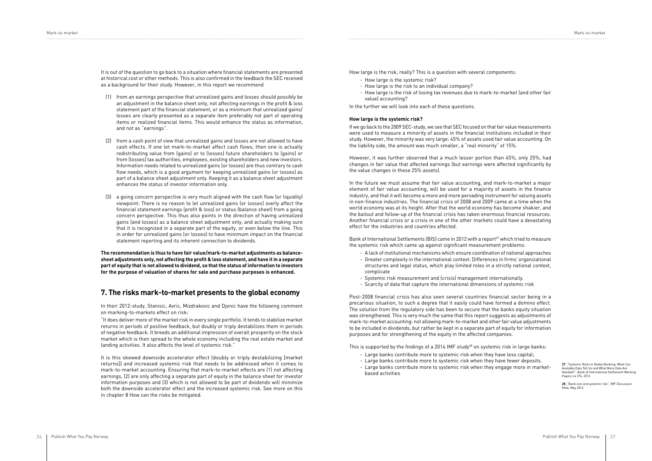It is out of the question to go back to a situation where financial statements are presented at historical cost or other methods. This is also confirmed in the feedback the SEC received as a background for their study. However, in this report we recommend

- (1) from an earnings perspective that unrealized gains and losses should possibly be an adjustment in the balance sheet only, not affecting earnings in the profit & loss statement part of the financial statement, or as a minimum that unrealized gains/ losses are clearly presented as a separate item preferably not part of operating items or realized financial items. This would enhance the status as information, and not as "earnings".
- (2) from a cash point of view that unrealized gains and losses are not allowed to have cash effects. If one let mark-to-market affect cash flows, then one is actually redistributing value from (gains) or to (losses) future shareholders to (gains) or from (losses) tax authorities, employees, existing shareholders and new investors. Information needs related to unrealized gains (or losses) are thus contrary to cash flow needs, which is a good argument for keeping unrealized gains (or losses) as part of a balance sheet adjustment only. Keeping it as a balance sheet adjustment enhances the status of investor information only.
- (3) a going concern perspective is very much aligned with the cash flow (or liquidity) viewpoint: There is no reason to let unrealized gains (or losses) overly affect the financial statement earnings (profit & loss) or status (balance sheet) from a going concern perspective. This thus also points in the direction of having unrealized gains (and losses) as a balance sheet adjustment only, and actually making sure that it is recognized in a separate part of the equity, or even below the line. This in order for unrealized gains (or losses) to have minimum impact on the financial statement reporting and its inherent connection to dividends.

**The recommendation is thus to have fair value/mark-to-market adjustments as balancesheet adjustments only, not affecting the profit & loss statement, and have it in a separate part of equity that is not allowed to dividend, so that the status of information to investors for the purpose of valuation of shares for sale and purchase purposes is enhanced.** 

#### **7. The risks mark-to-market presents to the global economy**

In their 2012-study, Stanisic, Avric, Mizdrakovic and Djenic have the following comment on marking-to-markets effect on risk:

Bank of International Settlements (BIS) came in 2012 with a report<sup>27</sup> which tried to measure the systemic risk which came up against significant measurement problems:

"It does deliver more of the market risk in every single portfolio. It tends to stabilize market returns in periods of positive feedback, but doubly or triply destabilizes them in periods of negative feedback. It breeds an additional impression of overall prosperity on the stock market which is then spread to the whole economy including the real estate market and landing activities. It also affects the level of systemic risk."

It is this skewed downside accelerator effect (doubly or triply destabilizing [market returns]) and increased systemic risk that needs to be addressed when it comes to mark-to-market accounting. Ensuring that mark-to-market effects are (1) not affecting earnings, (2) are only affecting a separate part of equity in the balance sheet for investor information purposes and (3) which is not allowed to be part of dividends will minimize both the downside accelerator effect and the increased systemic risk. See more on this in chapter 8 How can the risks be mitigated.

**28**\_"Bank size and systemic risk", IMF Discussion  $N$ ote, May 2014

How large is the risk, really? This is a question with several components:

- How large is the systemic risk?
- How large is the risk to an individual company?
- How large is the risk of losing tax revenues due to mark-to-market (and other fair value) accounting?

In the further we will look into each of these questions.

#### **How large is the systemic risk?**

If we go back to the 2009 SEC-study, we see that SEC focused on that fair value measurements were used to measure a minority of assets in the financial institutions included in their study. However, the minority was very large: 45% of assets used fair value accounting. On the liability side, the amount was much smaller, a "real minority" of 15%.

However, it was further observed that a much lesser portion than 45%, only 25%, had changes in fair value that affected earnings (but earnings were affected significantly by the value changes in these 25% assets).

In the future we must assume that fair value accounting, and mark-to-market a major element of fair value accounting, will be used for a majority of assets in the finance industry, and that it will become a more and more pervading instrument for valuing assets in non-finance industries. The financial crisis of 2008 and 2009 came at a time when the world economy was at its height. After that the world economy has become shakier, and the bailout and follow-up of the financial crisis has taken enormous financial resources. Another financial crisis or a crisis in one of the other markets could have a devastating effect for the industries and countries affected.

- A lack of institutional mechanisms which ensure coordination of national approaches
- Greater complexity in the international context: Differences in firms' organizational structures and legal status, which play limited roles in a strictly national context, complicate
- Systemic risk measurement and (crisis) management internationally.
- Scarcity of data that capture the international dimensions of systemic risk

Post-2008 financial crisis has also seen several countries financial sector being in a precarious situation, to such a degree that it easily could have formed a domino effect. The solution from the regulatory side has been to secure that the banks equity situation was strengthened. This is very much the same that this report suggests as adjustments of mark-to-market accounting: not allowing mark-to-market and other fair value adjustments to be included in dividends, but rather be kept in a separate part of equity for information purposes and for strengthening of the equity in the affected companies.

This is supported by the findings of a 2014 IMF study<sup>28</sup> on systemic risk in large banks:

- Large banks contribute more to systemic risk when they have less capital;
- Large banks contribute more to systemic risk when they have fewer deposits.
- Large banks contribute more to systemic risk when they engage more in marketbased activities

**27**\_"Systemic Risks in Global Banking: What Can Available Data Tell Us and What More Data Are Needed?", Bank of International Settlement Working Papers no 376, 2012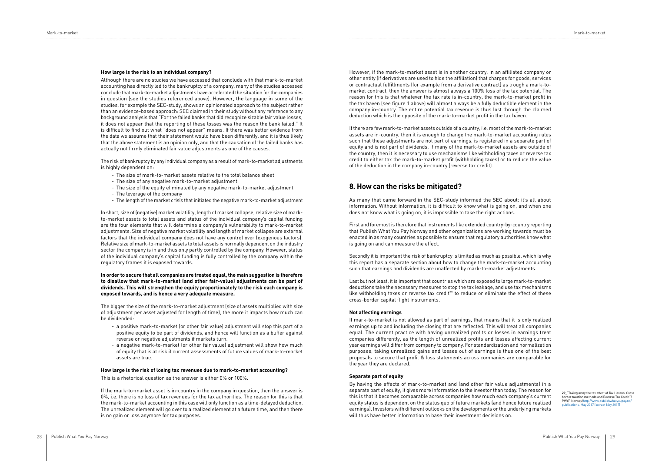#### **How large is the risk to an individual company?**

Although there are no studies we have accessed that conclude with that mark-to-market accounting has directly led to the bankruptcy of a company, many of the studies accessed conclude that mark-to-market adjustments have accelerated the situation for the companies in question (see the studies referenced above). However, the language in some of the studies, for example the SEC-study, shows an opinionated approach to the subject rather than an evidence-based approach: SEC claimed in their study without any reference to any background analysis that "For the failed banks that did recognize sizable fair value losses, it does not appear that the reporting of these losses was the reason the bank failed." It is difficult to find out what "does not appear" means. If there was better evidence from the data we assume that their statement would have been differently, and it is thus likely that the above statement is an opinion only, and that the causation of the failed banks has actually not firmly eliminated fair value adjustments as one of the causes.

The risk of bankruptcy by any individual company as a result of mark-to-market adjustments is highly dependent on:

- The size of mark-to-market assets relative to the total balance sheet
- The size of any negative mark-to-market adjustment
- The size of the equity eliminated by any negative mark-to-market adjustment
- The leverage of the company
- The length of the market crisis that initiated the negative mark-to-market adjustment

In short, size of (negative) market volatility, length of market collapse, relative size of markto-market assets to total assets and status of the individual company's capital funding are the four elements that will determine a company's vulnerability to mark-to-market adjustments. Size of negative market volatility and length of market collapse are external factors that the individual company does not have any control over (exogenous factors). Relative size of mark-to-market assets to total assets is normally dependent on the industry sector the company is in and thus only partly controlled by the company. However, status of the individual company's capital funding is fully controlled by the company within the regulatory frames it is exposed towards.

#### **In order to secure that all companies are treated equal, the main suggestion is therefore to disallow that mark-to-market (and other fair-value) adjustments can be part of dividends. This will strengthen the equity proportionately to the risk each company is exposed towards, and is hence a very adequate measure.**

The bigger the size of the mark-to-market adjustment (size of assets multiplied with size of adjustment per asset adjusted for length of time), the more it impacts how much can be dividended:

- a positive mark-to-market (or other fair value) adjustment will stop this part of a positive equity to be part of dividends, and hence will function as a buffer against reverse or negative adjustments if markets turn.
- a negative mark-to-market (or other fair value) adjustment will show how much of equity that is at risk if current assessments of future values of mark-to-market assets are true.

#### **How large is the risk of losing tax revenues due to mark-to-market accounting?**

This is a rhetorical question as the answer is either 0% or 100%.

If the mark-to-market asset is in-country in the company in question, then the answer is 0%, i.e. there is no loss of tax revenues for the tax authorities. The reason for this is that the mark-to-market accounting in this case will only function as a time-delayed deduction. The unrealized element will go over to a realized element at a future time, and then there is no gain or loss anymore for tax purposes.

However, if the mark-to-market asset is in another country, in an affiliated company or other entity (if derivatives are used to hide the affiliation) that charges for goods, services or contractual fulfillments (for example from a derivative contract) as trough a mark-tomarket contract, then the answer is almost always a 100% loss of the tax potential. The reason for this is that whatever the tax rate is in-country, the mark-to-market profit in the tax haven (see figure 1 above) will almost always be a fully deductible element in the company in-country. The entire potential tax revenue is thus lost through the claimed deduction which is the opposite of the mark-to-market profit in the tax haven.

If there are few mark-to-market assets outside of a country, i.e. most of the mark-to-market assets are in-country, then it is enough to change the mark-to-market accounting rules such that these adjustments are not part of earnings, is registered in a separate part of equity and is not part of dividends. If many of the mark-to-market assets are outside of the country, then it is necessary to use mechanisms like withholding taxes or reverse tax credit to either tax the mark-to-market profit (withholding taxes) or to reduce the value of the deduction in the company in-country (reverse tax credit).

#### **8. How can the risks be mitigated?**

As many that came forward in the SEC-study informed the SEC about: it's all about information. Without information, it is difficult to know what is going on, and when one does not know what is going on, it is impossible to take the right actions.

First and foremost is therefore that instruments like extended country-by-country reporting that Publish What You Pay Norway and other organizations are working towards must be enacted in as many countries as possible to ensure that regulatory authorities know what is going on and can measure the effect.

Secondly it is important the risk of bankruptcy is limited as much as possible, which is why this report has a separate section about how to change the mark-to-market accounting such that earnings and dividends are unaffected by mark-to-market adjustments.

Last but not least, it is important that countries which are exposed to large mark-to-market deductions take the necessary measures to stop the tax leakage, and use tax mechanisms like withholding taxes or reverse tax credit<sup>29</sup> to reduce or eliminate the effect of these cross-border capital flight instruments.

#### **Not affecting earnings**

If mark-to-market is not allowed as part of earnings, that means that it is only realized earnings up to and including the closing that are reflected. This will treat all companies equal. The current practice with having unrealized profits or losses in earnings treat companies differently, as the length of unrealized profits and losses affecting current year earnings will differ from company to company. For standardization and normalization purposes, taking unrealized gains and losses out of earnings is thus one of the best proposals to secure that profit & loss statements across companies are comparable for the year they are declared.

#### **Separate part of equity**

By having the effects of mark-to-market and (and other fair value adjustments) in a separate part of equity, it gives more information to the investor than today. The reason for this is that it becomes comparable across companies how much each company's current equity status is dependent on the status quo of future markets (and hence future realized earnings). Investors with different outlooks on the developments or the underlying markets will thus have better information to base their investment decisions on.

**29**\_"Taking away the tax effect of Tax Havens. Cross border taxation methods and Reverse Tax Credit"/ PWYP Norway/http://www.publish.com [publications, May 2017 \(extract May 2017\)](http://www.publishwhatyoupay.no/publications, May 2017 (extract May 2017))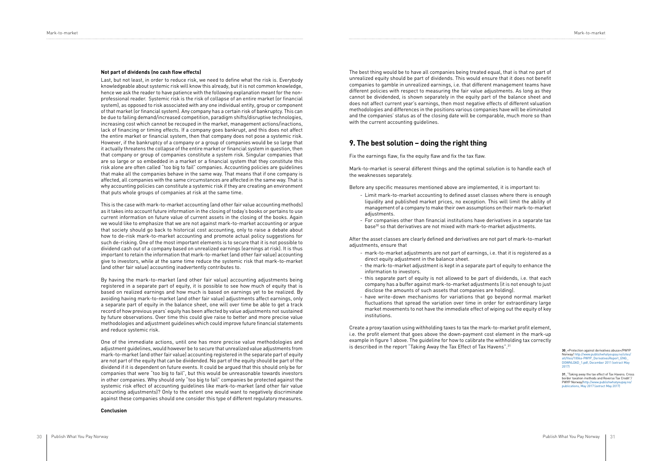#### **Not part of dividends (no cash flow effects)**

Last, but not least, in order to reduce risk, we need to define what the risk is. Everybody knowledgeable about systemic risk will know this already, but it is not common knowledge, hence we ask the reader to have patience with the following explanation meant for the nonprofessional reader. Systemic risk is the risk of collapse of an entire market (or financial system), as opposed to risk associated with any one individual entity, group or component of that market (or financial system). Any company has a certain risk of bankruptcy. This can be due to failing demand/increased competition, paradigm shifts/disruptive technologies, increasing cost which cannot be recouped in the market, management actions/inactions, lack of financing or timing effects. If a company goes bankrupt, and this does not affect the entire market or financial system, then that company does not pose a systemic risk. However, if the bankruptcy of a company or a group of companies would be so large that it actually threatens the collapse of the entire market or financial system in question, then that company or group of companies constitute a system risk. Singular companies that are so large or so embedded in a market or a financial system that they constitute this risk alone are often called "too big to fail" companies. Accounting policies are guidelines that make all the companies behave in the same way. That means that if one company is affected, all companies with the same circumstances are affected in the same way. That is why accounting policies can constitute a systemic risk if they are creating an environment that puts whole groups of companies at risk at the same time.

This is the case with mark-to-market accounting (and other fair value accounting methods) as it takes into account future information in the closing of today's books or pertains to use current information on future value of current assets in the closing of the books. Again we would like to emphasize that we are not against mark-to-market accounting or argue that society should go back to historical cost accounting, only to raise a debate about how to de-risk mark-to-market accounting and promote actual policy suggestions for such de-risking. One of the most important elements is to secure that it is not possible to dividend cash out of a company based on unrealized earnings (earnings at risk). It is thus important to retain the information that mark-to-market (and other fair value) accounting give to investors, while at the same time reduce the systemic risk that mark-to-market (and other fair value) accounting inadvertently contributes to.

- Limit mark-to-market accounting to defined asset classes where there is enough liquidity and published market prices, no exception. This will limit the ability of management of a company to make their own assumptions on their mark-to-market adiustments.
- For companies other than financial institutions have derivatives in a separate tax base<sup>30</sup> so that derivatives are not mixed with mark-to-market adjustments.

By having the mark-to-market (and other fair value) accounting adjustments being registered in a separate part of equity, it is possible to see how much of equity that is based on realized earnings and how much is based on earnings yet to be realized. By avoiding having mark-to-market (and other fair value) adjustments affect earnings, only a separate part of equity in the balance sheet, one will over time be able to get a track record of how previous years' equity has been affected by value adjustments not sustained by future observations. Over time this could give raise to better and more precise value methodologies and adjustment guidelines which could improve future financial statements and reduce systemic risk.

Create a proxy taxation using withholding taxes to tax the mark-to-market profit element, i.e. the profit element that goes above the down-payment cost element in the mark-up example in figure 1 above. The guideline for how to calibrate the withholding tax correctly is described in the report "Taking Away the Tax Effect of Tax Havens".<sup>31</sup>

One of the immediate actions, until one has more precise value methodologies and adjustment guidelines, would however be to secure that unrealized value adjustments from mark-to-market (and other fair value) accounting registered in the separate part of equity are not part of the equity that can be dividended. No part of the equity should be part of the dividend if it is dependent on future events. It could be argued that this should only be for companies that were "too big to fail", but this would be unreasonable towards investors in other companies. Why should only "too big to fail" companies be protected against the systemic risk effect of accounting guidelines like mark-to-market (and other fair value accounting adjustments)? Only to the extent one would want to negatively discriminate against these companies should one consider this type of different regulatory measures.

#### **Conclusion**

The best thing would be to have all companies being treated equal, that is that no part of unrealized equity should be part of dividends. This would ensure that it does not benefit companies to gamble in unrealized earnings, i.e. that different management teams have different policies with respect to measuring the fair value adjustments. As long as they cannot be dividended, is shown separately in the equity part of the balance sheet and does not affect current year's earnings, then most negative effects of different valuation methodologies and differences in the positions various companies have will be eliminated and the companies' status as of the closing date will be comparable, much more so than with the current accounting guidelines.

#### **9. The best solution – doing the right thing**

Fix the earnings flaw, fix the equity flaw and fix the tax flaw.

Mark-to-market is several different things and the optimal solution is to handle each of the weaknesses separately.

Before any specific measures mentioned above are implemented, it is important to:

After the asset classes are clearly defined and derivatives are not part of mark-to-market adjustments, ensure that

- mark-to-market adjustments are not part of earnings, i.e. that it is registered as a direct equity adjustment in the balance sheet.
- the mark-to-market adjustment is kept in a separate part of equity to enhance the information to investors.
- this separate part of equity is not allowed to be part of dividends, i.e. that each company has a buffer against mark-to-market adjustments (it is not enough to just disclose the amounts of such assets that companies are holding).
- have write-down mechanisms for variations that go beyond normal market fluctuations that spread the variation over time in order for extraordinary large market movements to not have the immediate effect of wiping out the equity of key institutions.

**30**\_«Protection against derivatives abuse»/PWYP Norway/ [http://www.publishwhatyoupay.no/sites/](http://www.publishwhatyoupay.no/sites/all/files/1006a-PWYP_DerivativesReport_ENG_DOWNLOAD_1.pdf, Dec) [all/files/1006a-PWYP\\_DerivativesReport\\_ENG\\_](http://www.publishwhatyoupay.no/sites/all/files/1006a-PWYP_DerivativesReport_ENG_DOWNLOAD_1.pdf, Dec) [DOWNLOAD\\_1.pdf, December 2011 \(extract May](http://www.publishwhatyoupay.no/sites/all/files/1006a-PWYP_DerivativesReport_ENG_DOWNLOAD_1.pdf, Dec)  [2017\)](http://www.publishwhatyoupay.no/sites/all/files/1006a-PWYP_DerivativesReport_ENG_DOWNLOAD_1.pdf, Dec)

**31**\_"Taking away the tax effect of Tax Havens. Cross border taxation methods and Reverse Tax Credit"/ PWYP Norway/[http://www.publishwhatyoupay.no/](http://www.publishwhatyoupay.no/publications, May 2017 (extract May 2017)) [publications, May 2017 \(extract May 2017\)](http://www.publishwhatyoupay.no/publications, May 2017 (extract May 2017))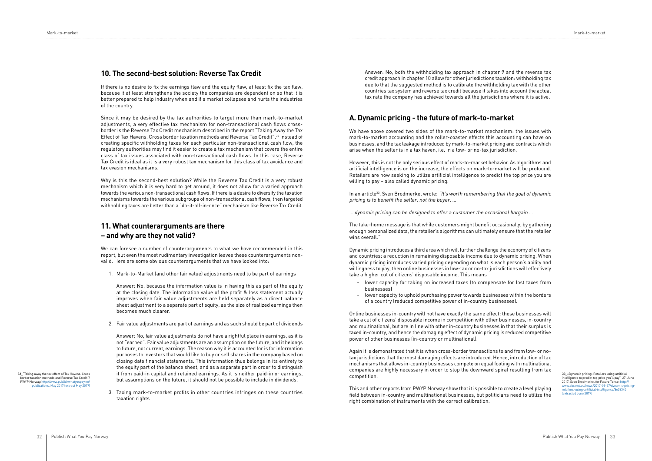#### **10. The second-best solution: Reverse Tax Credit**

If there is no desire to fix the earnings flaw and the equity flaw, at least fix the tax flaw, because it at least strengthens the society the companies are dependent on so that it is better prepared to help industry when and if a market collapses and hurts the industries of the country.

Since it may be desired by the tax authorities to target more than mark-to-market adjustments, a very effective tax mechanism for non-transactional cash flows crossborder is the Reverse Tax Credit mechanism described in the report "Taking Away the Tax Effect of Tax Havens. Cross border taxation methods and Reverse Tax Credit".32 Instead of creating specific withholding taxes for each particular non-transactional cash flow, the regulatory authorities may find it easier to create a tax mechanism that covers the entire class of tax issues associated with non-transactional cash flows. In this case, Reverse Tax Credit is ideal as it is a very robust tax mechanism for this class of tax avoidance and tax evasion mechanisms.

Why is this the second-best solution? While the Reverse Tax Credit is a very robust mechanism which it is very hard to get around, it does not allow for a varied approach towards the various non-transactional cash flows. If there is a desire to diversify the taxation mechanisms towards the various subgroups of non-transactional cash flows, then targeted withholding taxes are better than a "do-it-all-in-once" mechanism like Reverse Tax Credit.

### **11. What counterarguments are there – and why are they not valid?**

We can foresee a number of counterarguments to what we have recommended in this report, but even the most rudimentary investigation leaves these counterarguments nonvalid. Here are some obvious counterarguments that we have looked into:

1. Mark-to-Market (and other fair value) adjustments need to be part of earnings

Answer: No, because the information value is in having this as part of the equity at the closing date. The information value of the profit & loss statement actually improves when fair value adjustments are held separately as a direct balance sheet adjustment to a separate part of equity, as the size of realized earnings then becomes much clearer.

In an article<sup>33</sup>, Sven Brodmerkel wrote: "It's worth remembering that the goal of dynamic pricing is to benefit the seller, not the buyer, …

2. Fair value adjustments are part of earnings and as such should be part of dividends

Answer: No, fair value adjustments do not have a rightful place in earnings, as it is not "earned". Fair value adjustments are an assumption on the future, and it belongs to future, not current, earnings. The reason why it is accounted for is for information purposes to investors that would like to buy or sell shares in the company based on closing date financial statements. This information thus belongs in its entirety to the equity part of the balance sheet, and as a separate part in order to distinguish it from paid-in capital and retained earnings. As it is neither paid-in or earnings, but assumptions on the future, it should not be possible to include in dividends.

3. Taxing mark-to-market profits in other countries infringes on these countries taxation rights

Answer: No, both the withholding tax approach in chapter 9 and the reverse tax credit approach in chapter 10 allow for other jurisdictions taxation: withholding tax due to that the suggested method is to calibrate the withholding tax with the other countries tax system and reverse tax credit because it takes into account the actual tax rate the company has achieved towards all the jurisdictions where it is active.

### **A. Dynamic pricing - the future of mark-to-market**

We have above covered two sides of the mark-to-market mechanism: the issues with mark-to-market accounting and the roller-coaster effects this accounting can have on businesses, and the tax leakage introduced by mark-to-market pricing and contracts which arise when the seller is in a tax haven, i.e. in a low- or no-tax jurisdiction.

However, this is not the only serious effect of mark-to-market behavior. As algorithms and artificial intelligence is on the increase, the effects on mark-to-market will be profound. Retailers are now seeking to utilize artificial intelligence to predict the top price you are willing to pay – also called dynamic pricing.

… dynamic pricing can be designed to offer a customer the occasional bargain …

The take-home message is that while customers might benefit occasionally, by gathering enough personalized data, the retailer's algorithms can ultimately ensure that the retailer wins overall."

Dynamic pricing introduces a third area which will further challenge the economy of citizens and countries: a reduction in remaining disposable income due to dynamic pricing. When dynamic pricing introduces varied pricing depending on what is each person's ability and willingness to pay, then online businesses in low-tax or no-tax jurisdictions will effectively take a higher cut of citizens' disposable income. This means

- lower capacity for taking on increased taxes (to compensate for lost taxes from businesses)
- lower capacity to uphold purchasing power towards businesses within the borders of a country (reduced competitive power of in-country businesses).

Online businesses in-country will not have exactly the same effect: these businesses will take a cut of citizens' disposable income in competition with other businesses, in-country and multinational, but are in line with other in-country businesses in that their surplus is taxed in-country, and hence the damaging effect of dynamic pricing is reduced competitive power of other businesses (in-country or multinational).

Again it is demonstrated that it is when cross-border transactions to and from low- or notax jurisdictions that the most damaging effects are introduced. Hence, introduction of tax mechanisms that allows in-country businesses compete on equal footing with multinational companies are highly necessary in order to stop the downward spiral resulting from tax competition.

This and other reports from PWYP Norway show that it is possible to create a level playing field between in-country and multinational businesses, but politicians need to utilize the right combination of instruments with the correct calibration.

**32**\_"Taking away the tax effect of Tax Havens. Cross border taxation methods and Reverse Tax Credit"/ PWYP Norway/http://www.publishwhat [publications, May 2017 \(extract May 2017\)](http://www.publishwhatyoupay.no/publications, May 2017 (extract May 2017))

**33**\_«Dynamic pricing: Retailers using artificial intelligence to predict top price you'll pay", 27. June 2017, Sven Brodmerkel for Future Tense; [http://](http://www.abc.net.au/news/2017-06-27/dynamic-pricing-retailers-using-artificial-intelligence/863834) [www.abc.net.au/news/2017-06-27/dynamic-pricing](http://www.abc.net.au/news/2017-06-27/dynamic-pricing-retailers-using-artificial-intelligence/863834)[retailers-using-artificial-intelligence/8638340](http://www.abc.net.au/news/2017-06-27/dynamic-pricing-retailers-using-artificial-intelligence/863834)  [\(extracted June 2017\)](http://www.abc.net.au/news/2017-06-27/dynamic-pricing-retailers-using-artificial-intelligence/863834)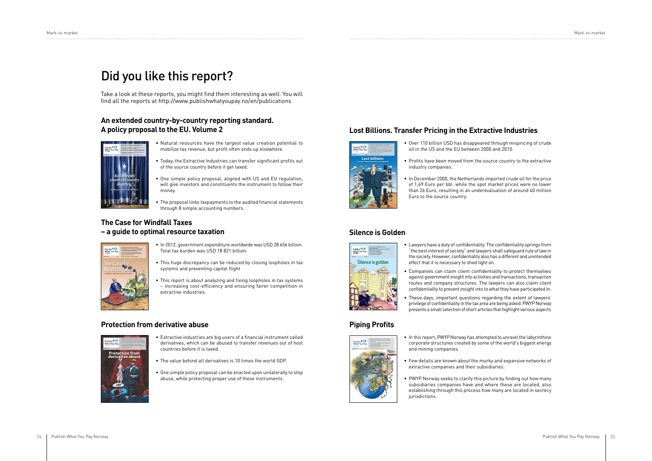Take a look at these reports, you might find them interesting as well. You will find all the reports at http://www.publishwhatyoupay.no/en/publications

- Natural resources have the largest value creation potential to mobilize tax revenue, but profit often ends up elsewhere.
- Today, the Extractive Industries can transfer significant profits out of the source country before it get taxed.
- One simple policy proposal, aligned with US and EU regulation, will give investors and constituents the instrument to follow their money.
- The proposal links taxpayments to the audited financial statements through 8 simple accounting numbers.
- Over 110 billion USD has disappeared through mispricing of crude oil in the US and the EU between 2000 and 2010.
- Profits have been moved from the source country to the extractive industry companies.
- In December 2000, the Netherlands imported crude oil for the price of 1,69 Euro per bbl. while the spot market prices were no lower than 26 Euro, resulting in an underevaluation of around 40 million Euro to the source country.

- In 2012, government expenditure worldwide was USD 28 656 billion. Total tax burden was USD 18 821 billion.
- This huge discrepancy can be reduced by closing loopholes in tax systems and preventing capital flight
- This report is about analyzing and fixing loopholes in tax systems – increasing cost-efficiency and ensuring fairer competition in extractive industries.

### **Protection from derivative abuse Profits Piping Profits**

- Lawyers have a duty of confidentiality. The confidentiality springs from "the best interest of society" and lawyers shall safeguard rule of law in the society. However, confidentiality also has a different and unintended effect that it is necessary to shed light on.
- Companies can claim client confidentiality to protect themselves against government insight into activities and transactions, transaction routes and company structures. The lawyers can also claim client confidentiality to prevent insight into to what they have participated in.
- These days, important questions regarding the extent of lawyers' privilege of confidentiality in the tax area are being asked. PWYP Norway presents a small selection of short articles that highlight various aspects

# $\overline{\mathcal{L}}$ **t 1SPöUT IBWF CFFO NPWFE GSPN UIF TPVSDF DPVOUSZ UP UIF FYUSBDUJWF +"/6"3: QXZQOP 8SJUUFO CZ 4JNPO + 1BL 1I% Lost billions Transfer Pricing in the Extractive Industries**

- Extractive industries are big users of a financial instrument called derivatives, which can be abused to transfer revenues out of host countries before it is taxed.
- The value behind all derivatives is 10 times the world GDP.
- One simple policy proposal can be enacted upon unilaterally to stop abuse, while protecting proper use of these instruments.
- In this report, PWYP Norway has attempted to unravel the labyrinthine corporate structures created by some of the world's biggest energy and mining companies.
- Few details are known about the murky and expansive networks of extractive companies and their subsidiaries.
- PWYP Norway seeks to clarify this picture by finding out how many subsidiaries companies have and where these are located, also establishing through this process how many are located in secrecy jurisdictions.

### **An extended country-by-country reporting standard. A policy proposal to the EU. Volume 2 Lost Billions. Transfer Pricing in the Extractive Industries**

### **The Case for Windfall Taxes – a guide to optimal resource taxation Silence is Golden**

# Did you like this report?